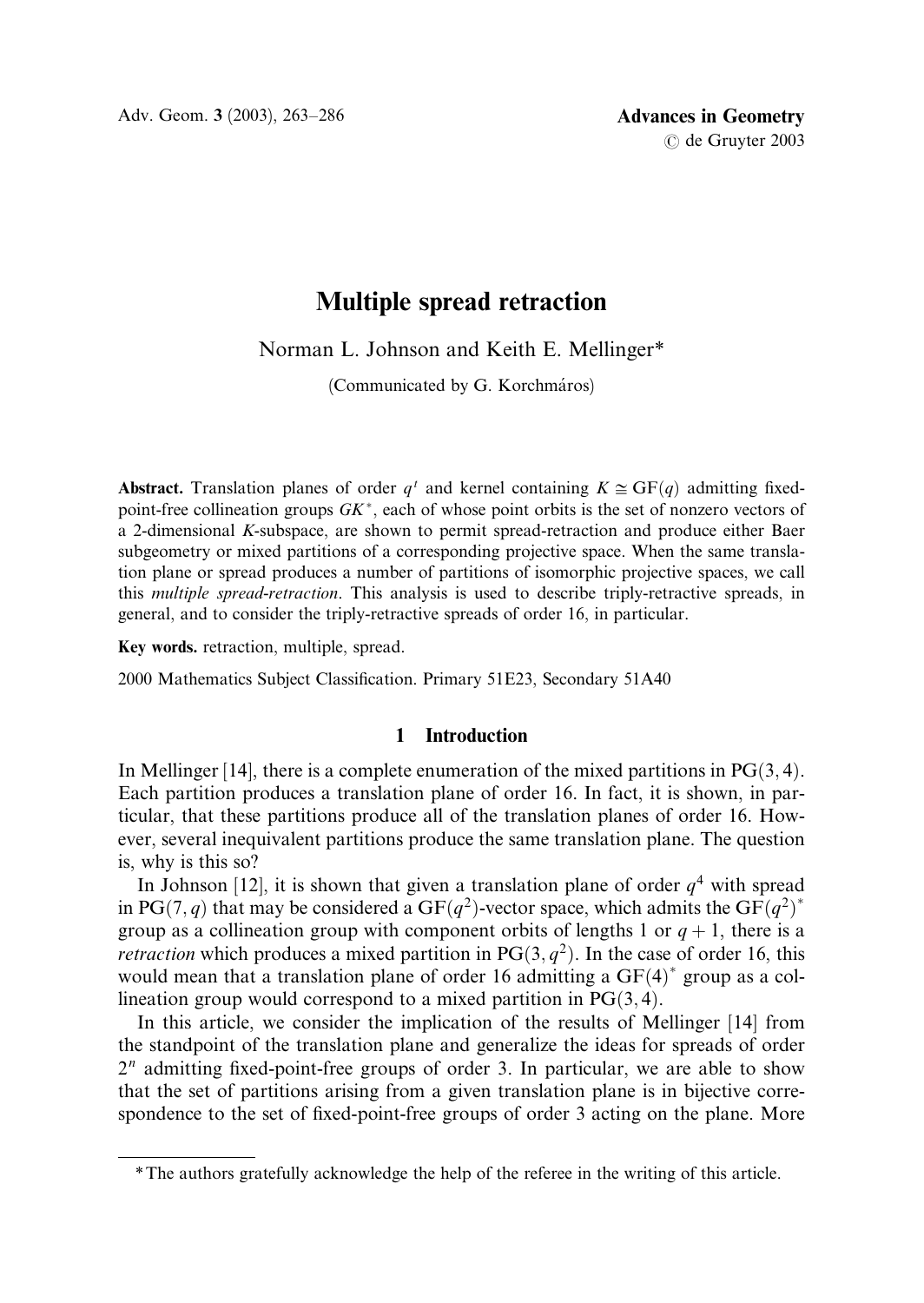# Multiple spread retraction

Norman L. Johnson and Keith E. Mellinger\*

(Communicated by G. Korchmáros)

Abstract. Translation planes of order q<sup>t</sup> and kernel containing  $K \cong GF(q)$  admitting fixedpoint-free collineation groups  $GK^*$ , each of whose point orbits is the set of nonzero vectors of a 2-dimensional K-subspace, are shown to permit spread-retraction and produce either Baer subgeometry or mixed partitions of a corresponding projective space. When the same translation plane or spread produces a number of partitions of isomorphic projective spaces, we call this multiple spread-retraction. This analysis is used to describe triply-retractive spreads, in general, and to consider the triply-retractive spreads of order 16, in particular.

Key words. retraction, multiple, spread.

2000 Mathematics Subject Classification. Primary 51E23, Secondary 51A40

## 1 Introduction

In Mellinger [14], there is a complete enumeration of the mixed partitions in  $PG(3, 4)$ . Each partition produces a translation plane of order 16. In fact, it is shown, in particular, that these partitions produce all of the translation planes of order 16. However, several inequivalent partitions produce the same translation plane. The question is, why is this so?

In Johnson [12], it is shown that given a translation plane of order  $q<sup>4</sup>$  with spread in PG $(7, q)$  that may be considered a GF $(q^2)$ -vector space, which admits the GF $(q^2)^*$ group as a collineation group with component orbits of lengths 1 or  $q + 1$ , there is a *retraction* which produces a mixed partition in  $PG(3, q^2)$ . In the case of order 16, this would mean that a translation plane of order 16 admitting a  $GF(4)^*$  group as a collineation group would correspond to a mixed partition in  $PG(3, 4)$ .

In this article, we consider the implication of the results of Mellinger [14] from the standpoint of the translation plane and generalize the ideas for spreads of order  $2<sup>n</sup>$  admitting fixed-point-free groups of order 3. In particular, we are able to show that the set of partitions arising from a given translation plane is in bijective correspondence to the set of fixed-point-free groups of order 3 acting on the plane. More

<sup>\*</sup>The authors gratefully acknowledge the help of the referee in the writing of this article.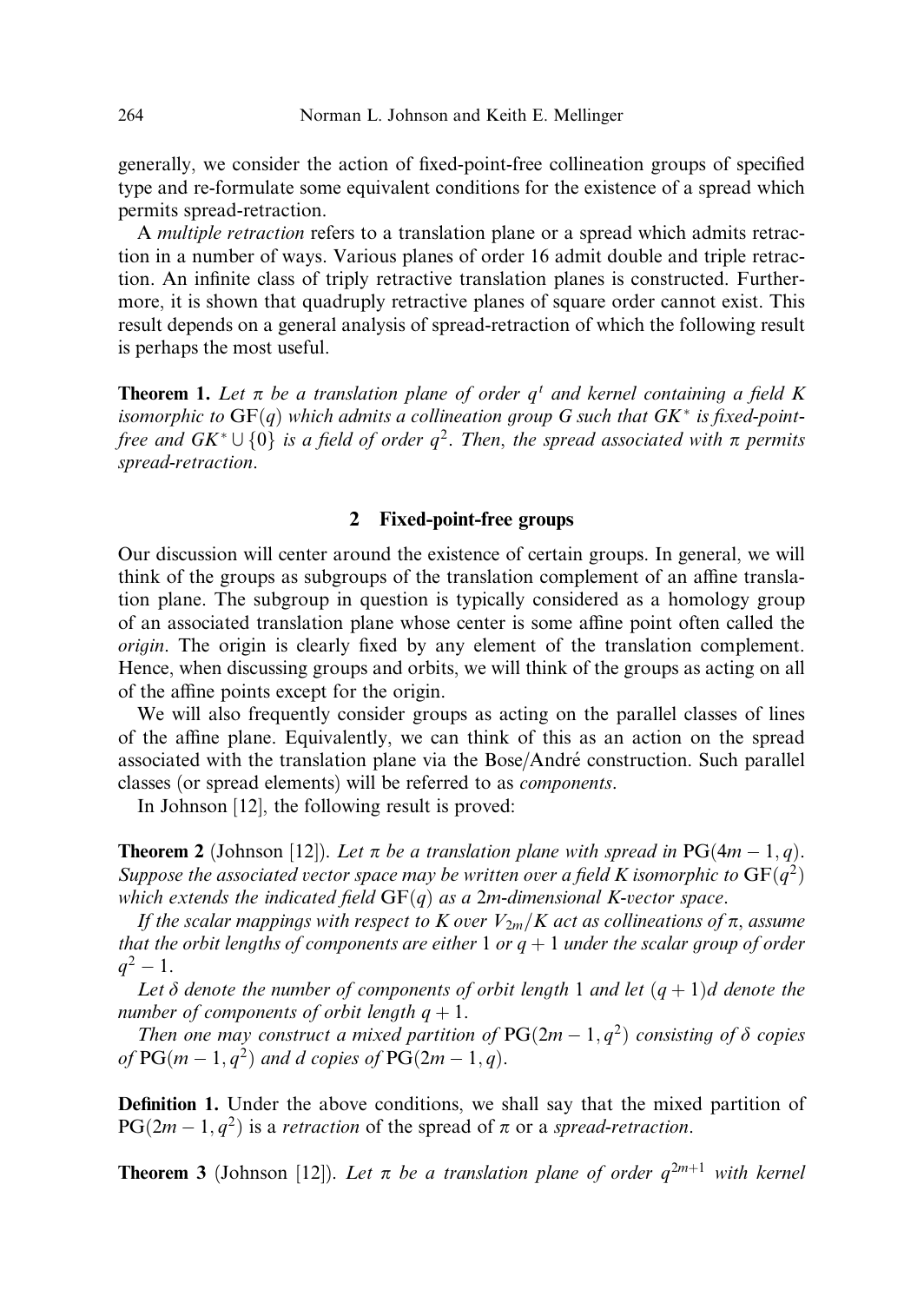generally, we consider the action of fixed-point-free collineation groups of specified type and re-formulate some equivalent conditions for the existence of a spread which permits spread-retraction.

A multiple retraction refers to a translation plane or a spread which admits retraction in a number of ways. Various planes of order 16 admit double and triple retraction. An infinite class of triply retractive translation planes is constructed. Furthermore, it is shown that quadruply retractive planes of square order cannot exist. This result depends on a general analysis of spread-retraction of which the following result is perhaps the most useful.

**Theorem 1.** Let  $\pi$  be a translation plane of order  $q^t$  and kernel containing a field K isomorphic to  $GF(q)$  which admits a collineation group G such that  $GK^*$  is fixed-pointfree and  $GK^* \cup \{0\}$  is a field of order  $q^2$ . Then, the spread associated with  $\pi$  permits spread-retraction.

## 2 Fixed-point-free groups

Our discussion will center around the existence of certain groups. In general, we will think of the groups as subgroups of the translation complement of an affine translation plane. The subgroup in question is typically considered as a homology group of an associated translation plane whose center is some affine point often called the origin. The origin is clearly fixed by any element of the translation complement. Hence, when discussing groups and orbits, we will think of the groups as acting on all of the affine points except for the origin.

We will also frequently consider groups as acting on the parallel classes of lines of the affine plane. Equivalently, we can think of this as an action on the spread associated with the translation plane via the Bose/Andre´ construction. Such parallel classes (or spread elements) will be referred to as components.

In Johnson [12], the following result is proved:

**Theorem 2** (Johnson [12]). Let  $\pi$  be a translation plane with spread in PG(4m – 1, q). Suppose the associated vector space may be written over a field K isomorphic to  $GF(q^2)$ which extends the indicated field  $GF(q)$  as a 2m-dimensional K-vector space.

If the scalar mappings with respect to K over  $V_{2m}/K$  act as collineations of  $\pi$ , assume that the orbit lengths of components are either 1 or  $q + 1$  under the scalar group of order  $q^2 - 1$ .

Let  $\delta$  denote the number of components of orbit length 1 and let  $(q + 1)d$  denote the number of components of orbit length  $q + 1$ .

Then one may construct a mixed partition of PG $(2m-1, q^2)$  consisting of  $\delta$  copies of  $PG(m-1, q^2)$  and d copies of  $PG(2m-1, q)$ .

Definition 1. Under the above conditions, we shall say that the mixed partition of  $PG(2m-1, q^2)$  is a retraction of the spread of  $\pi$  or a spread-retraction.

**Theorem 3** (Johnson [12]). Let  $\pi$  be a translation plane of order  $q^{2m+1}$  with kernel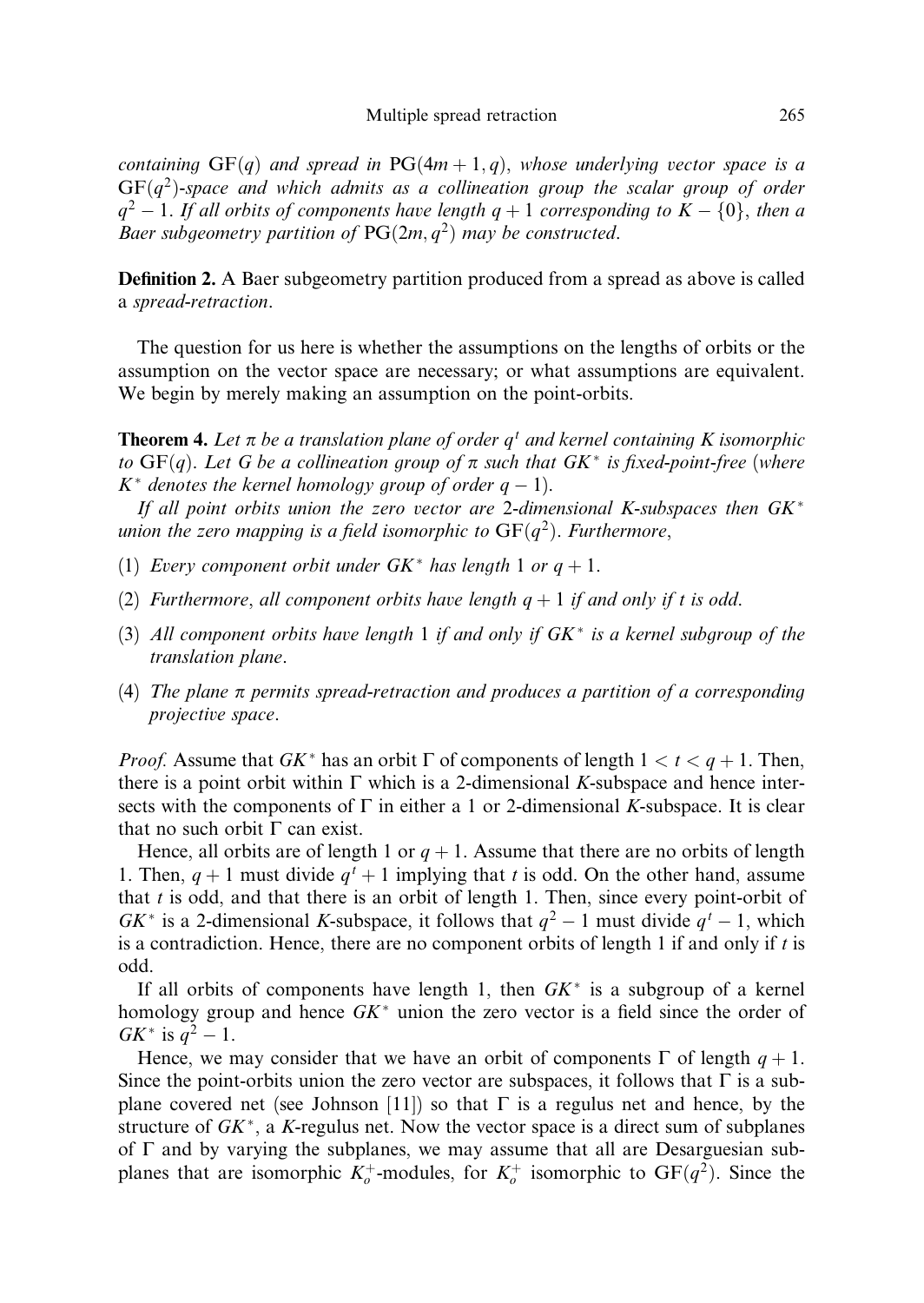containing  $GF(q)$  and spread in  $PG(4m + 1, q)$ , whose underlying vector space is a  $GF(q^2)$ -space and which admits as a collineation group the scalar group of order  $q^2 - 1$ . If all orbits of components have length  $q + 1$  corresponding to  $K - \{0\}$ , then a Baer subgeometry partition of  $PG(2m, q^2)$  may be constructed.

Definition 2. A Baer subgeometry partition produced from a spread as above is called a spread-retraction.

The question for us here is whether the assumptions on the lengths of orbits or the assumption on the vector space are necessary; or what assumptions are equivalent. We begin by merely making an assumption on the point-orbits.

**Theorem 4.** Let  $\pi$  be a translation plane of order  $q^t$  and kernel containing K isomorphic to  $GF(q)$ . Let G be a collineation group of  $\pi$  such that  $GK^*$  is fixed-point-free (where  $K^*$  denotes the kernel homology group of order  $q-1$ ).

If all point orbits union the zero vector are 2-dimensional K-subspaces then  $GK^*$ union the zero mapping is a field isomorphic to  $GF(q^2)$ . Furthermore,

- (1) Every component orbit under  $GK^*$  has length 1 or  $q + 1$ .
- (2) Furthermore, all component orbits have length  $q + 1$  if and only if t is odd.
- (3) All component orbits have length 1 if and only if  $G K^*$  is a kernel subgroup of the translation plane.
- (4) The plane  $\pi$  permits spread-retraction and produces a partition of a corresponding projective space.

*Proof.* Assume that  $GK^*$  has an orbit  $\Gamma$  of components of length  $1 < t < q + 1$ . Then, there is a point orbit within  $\Gamma$  which is a 2-dimensional K-subspace and hence intersects with the components of  $\Gamma$  in either a 1 or 2-dimensional K-subspace. It is clear that no such orbit  $\Gamma$  can exist.

Hence, all orbits are of length 1 or  $q + 1$ . Assume that there are no orbits of length 1. Then,  $q + 1$  must divide  $q<sup>t</sup> + 1$  implying that t is odd. On the other hand, assume that  $t$  is odd, and that there is an orbit of length 1. Then, since every point-orbit of GK<sup>\*</sup> is a 2-dimensional K-subspace, it follows that  $q^2 - 1$  must divide  $q^t - 1$ , which is a contradiction. Hence, there are no component orbits of length 1 if and only if  $t$  is odd.

If all orbits of components have length 1, then  $G K^*$  is a subgroup of a kernel homology group and hence  $GK^*$  union the zero vector is a field since the order of  $GK^*$  is  $q^2 - 1$ .

Hence, we may consider that we have an orbit of components  $\Gamma$  of length  $q + 1$ . Since the point-orbits union the zero vector are subspaces, it follows that  $\Gamma$  is a subplane covered net (see Johnson [11]) so that  $\Gamma$  is a regulus net and hence, by the structure of  $GK^*$ , a K-regulus net. Now the vector space is a direct sum of subplanes of  $\Gamma$  and by varying the subplanes, we may assume that all are Desarguesian subplanes that are isomorphic  $K_o^+$ -modules, for  $K_o^+$  isomorphic to  $GF(q^2)$ . Since the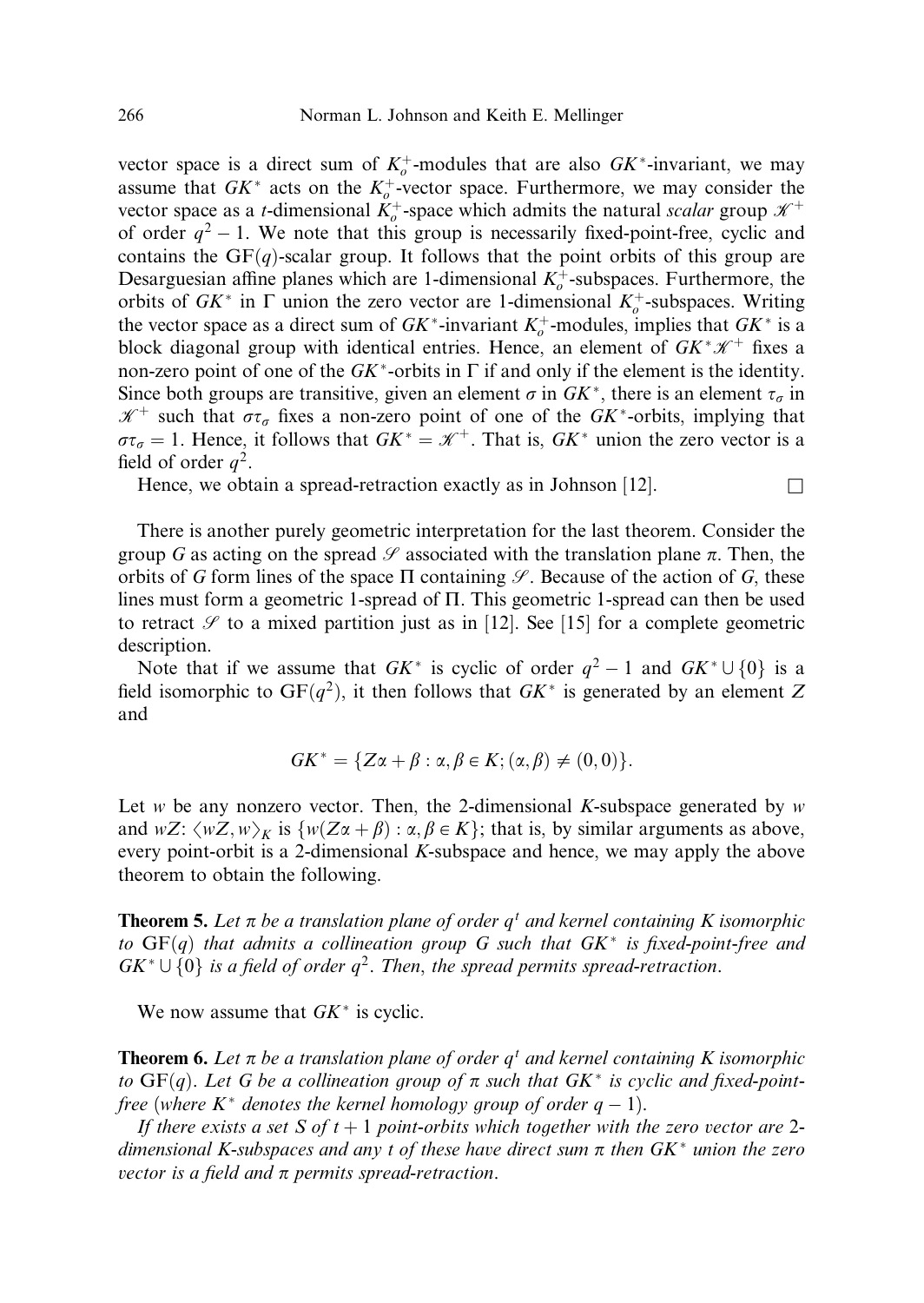vector space is a direct sum of  $K_o^+$ -modules that are also  $GK^*$ -invariant, we may assume that  $G K^*$  acts on the  $K_o^+$ -vector space. Furthermore, we may consider the vector space as a *t*-dimensional  $K_o^+$ -space which admits the natural scalar group  $\mathcal{K}^+$ of order  $q^2 - 1$ . We note that this group is necessarily fixed-point-free, cyclic and contains the  $GF(q)$ -scalar group. It follows that the point orbits of this group are Desarguesian affine planes which are 1-dimensional  $K_o^+$ -subspaces. Furthermore, the orbits of  $G K^*$  in  $\Gamma$  union the zero vector are 1-dimensional  $K_o^+$ -subspaces. Writing the vector space as a direct sum of  $G K^*$ -invariant  $K_o^+$ -modules, implies that  $G K^*$  is a block diagonal group with identical entries. Hence, an element of  $GK^*\mathscr{K}^+$  fixes a non-zero point of one of the  $GK^*$ -orbits in  $\Gamma$  if and only if the element is the identity. Since both groups are transitive, given an element  $\sigma$  in  $G K^*$ , there is an element  $\tau_{\sigma}$  in  $\mathscr{K}^+$  such that  $\sigma\tau_\sigma$  fixes a non-zero point of one of the GK<sup>\*</sup>-orbits, implying that  $\sigma\tau_{\sigma} = 1$ . Hence, it follows that  $G K^* = \mathcal{K}^+$ . That is,  $G K^*$  union the zero vector is a field of order  $q^2$ .

Hence, we obtain a spread-retraction exactly as in Johnson  $[12]$ .

There is another purely geometric interpretation for the last theorem. Consider the group G as acting on the spread  $\mathscr S$  associated with the translation plane  $\pi$ . Then, the orbits of G form lines of the space  $\Pi$  containing  $\mathscr{S}$ . Because of the action of G, these lines must form a geometric 1-spread of  $\Pi$ . This geometric 1-spread can then be used to retract  $\mathscr S$  to a mixed partition just as in [12]. See [15] for a complete geometric description.

Note that if we assume that  $G K^*$  is cyclic of order  $q^2 - 1$  and  $G K^* \cup \{0\}$  is a field isomorphic to  $GF(q^2)$ , it then follows that  $GK^*$  is generated by an element Z and

$$
GK^* = \{Z\alpha + \beta : \alpha, \beta \in K; (\alpha, \beta) \neq (0, 0)\}.
$$

Let w be any nonzero vector. Then, the 2-dimensional K-subspace generated by w and  $wZ: \langle wZ, w\rangle_K$  is  $\{w(Z\alpha + \beta) : \alpha, \beta \in K\}$ ; that is, by similar arguments as above, every point-orbit is a 2-dimensional K-subspace and hence, we may apply the above theorem to obtain the following.

**Theorem 5.** Let  $\pi$  be a translation plane of order  $q<sup>t</sup>$  and kernel containing K isomorphic to  $GF(q)$  that admits a collineation group G such that  $GK^*$  is fixed-point-free and  $GK^* \cup \{0\}$  is a field of order  $q^2$ . Then, the spread permits spread-retraction.

We now assume that  $G K^*$  is cyclic.

**Theorem 6.** Let  $\pi$  be a translation plane of order  $q<sup>t</sup>$  and kernel containing K isomorphic to  $GF(q)$ . Let G be a collineation group of  $\pi$  such that  $GK^*$  is cyclic and fixed-pointfree (where  $K^*$  denotes the kernel homology group of order  $q-1$ ).

If there exists a set S of  $t + 1$  point-orbits which together with the zero vector are 2dimensional K-subspaces and any t of these have direct sum  $\pi$  then  $GK^*$  union the zero vector is a field and  $\pi$  permits spread-retraction.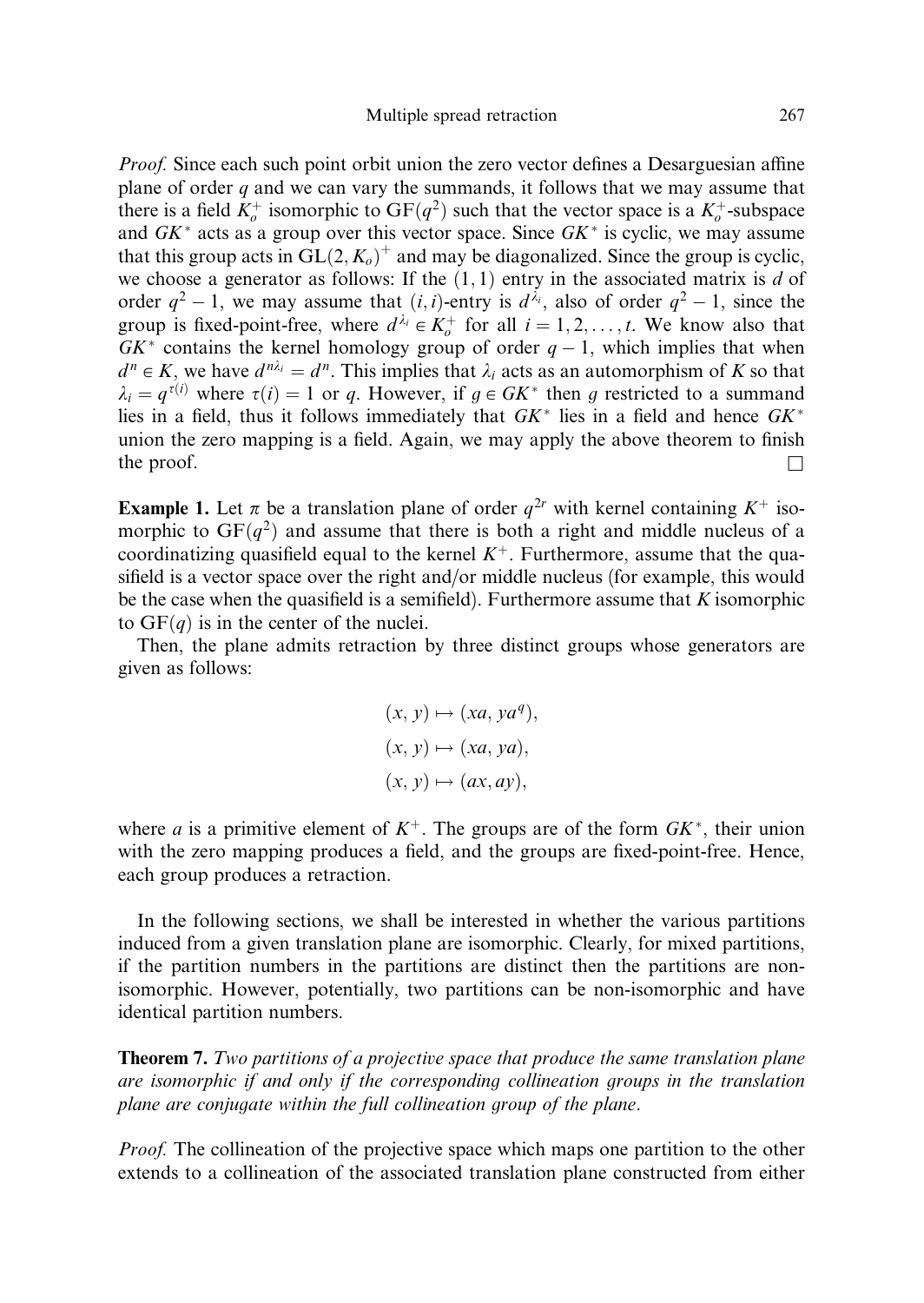*Proof.* Since each such point orbit union the zero vector defines a Desarguesian affine plane of order  $q$  and we can vary the summands, it follows that we may assume that there is a field  $K_o^+$  isomorphic to  $GF(q^2)$  such that the vector space is a  $K_o^+$ -subspace and  $GK^*$  acts as a group over this vector space. Since  $GK^*$  is cyclic, we may assume that this group acts in  $GL(2, K_o)^+$  and may be diagonalized. Since the group is cyclic, we choose a generator as follows: If the  $(1, 1)$  entry in the associated matrix is d of order  $q^2 - 1$ , we may assume that  $(i, i)$ -entry is  $d^{\lambda_i}$ , also of order  $q^2 - 1$ , since the group is fixed-point-free, where  $d^{\lambda_i} \in K_o^+$  for all  $i = 1, 2, ..., t$ . We know also that  $GK^*$  contains the kernel homology group of order  $q-1$ , which implies that when  $d^n \in K$ , we have  $d^{n\lambda_i} = d^n$ . This implies that  $\lambda_i$  acts as an automorphism of K so that  $\lambda_i = q^{\tau(i)}$  where  $\tau(i) = 1$  or q. However, if  $g \in GK^*$  then g restricted to a summand lies in a field, thus it follows immediately that  $G K^*$  lies in a field and hence  $G K^*$ union the zero mapping is a field. Again, we may apply the above theorem to finish the proof.  $\Box$ 

**Example 1.** Let  $\pi$  be a translation plane of order  $q^{2r}$  with kernel containing  $K^+$  isomorphic to  $GF(q^2)$  and assume that there is both a right and middle nucleus of a coordinatizing quasifield equal to the kernel  $K^+$ . Furthermore, assume that the quasifield is a vector space over the right and/or middle nucleus (for example, this would be the case when the quasifield is a semifield). Furthermore assume that  $K$  isomorphic to  $GF(q)$  is in the center of the nuclei.

Then, the plane admits retraction by three distinct groups whose generators are given as follows:

$$
(x, y) \mapsto (xa, ya^q),
$$
  

$$
(x, y) \mapsto (xa, ya),
$$
  

$$
(x, y) \mapsto (ax, ay),
$$

where a is a primitive element of  $K^+$ . The groups are of the form  $G K^*$ , their union with the zero mapping produces a field, and the groups are fixed-point-free. Hence, each group produces a retraction.

In the following sections, we shall be interested in whether the various partitions induced from a given translation plane are isomorphic. Clearly, for mixed partitions, if the partition numbers in the partitions are distinct then the partitions are nonisomorphic. However, potentially, two partitions can be non-isomorphic and have identical partition numbers.

**Theorem 7.** Two partitions of a projective space that produce the same translation plane are isomorphic if and only if the corresponding collineation groups in the translation plane are conjugate within the full collineation group of the plane.

Proof. The collineation of the projective space which maps one partition to the other extends to a collineation of the associated translation plane constructed from either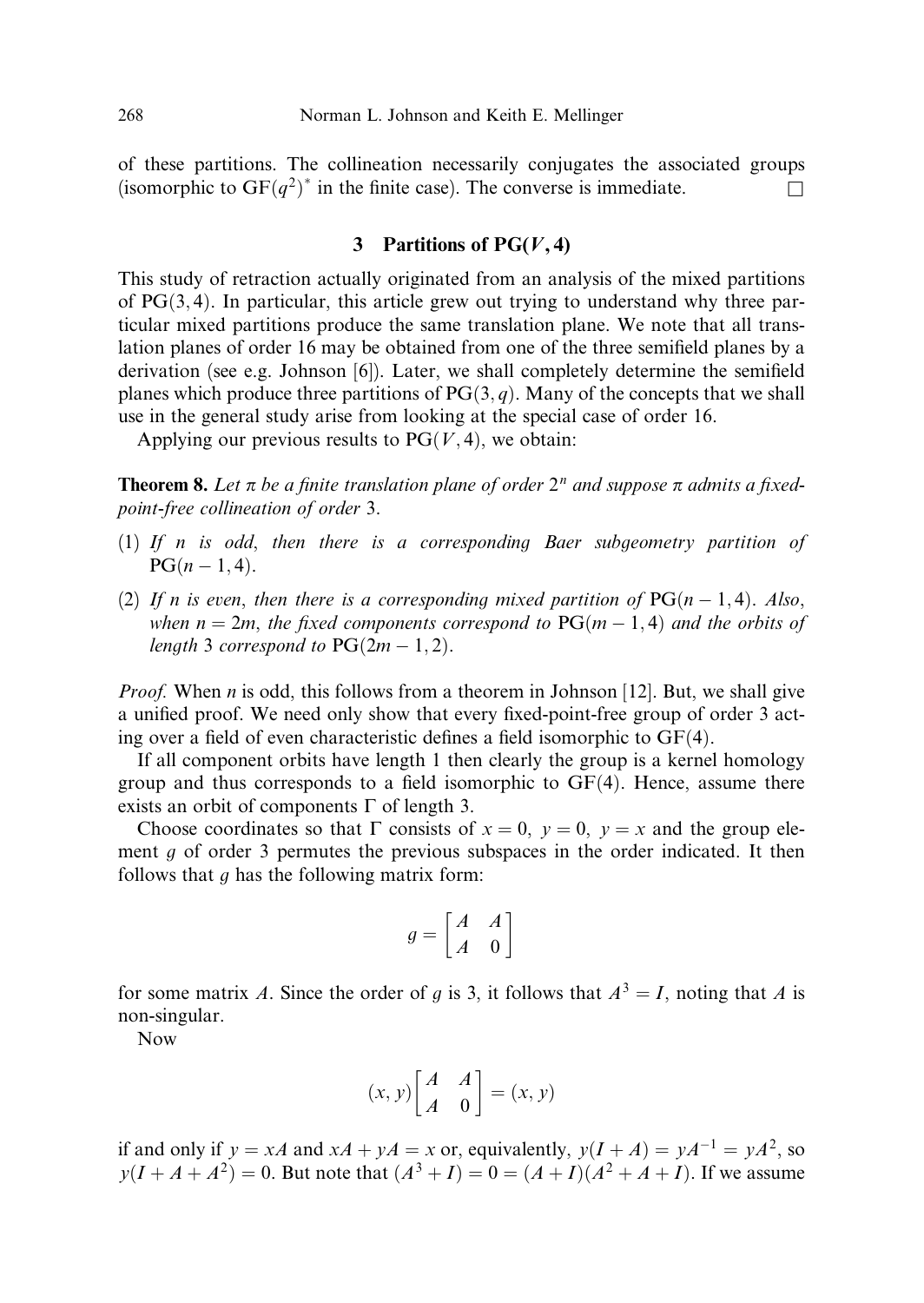of these partitions. The collineation necessarily conjugates the associated groups (isomorphic to  $GF(q^2)^*$  in the finite case). The converse is immediate.

# 3 Partitions of  $PG(V, 4)$

This study of retraction actually originated from an analysis of the mixed partitions of  $PG(3, 4)$ . In particular, this article grew out trying to understand why three particular mixed partitions produce the same translation plane. We note that all translation planes of order 16 may be obtained from one of the three semifield planes by a derivation (see e.g. Johnson [6]). Later, we shall completely determine the semifield planes which produce three partitions of  $PG(3, q)$ . Many of the concepts that we shall use in the general study arise from looking at the special case of order 16.

Applying our previous results to  $PG(V, 4)$ , we obtain:

**Theorem 8.** Let  $\pi$  be a finite translation plane of order  $2^n$  and suppose  $\pi$  admits a fixedpoint-free collineation of order 3.

- (1) If n is odd, then there is a corresponding Baer subgeometry partition of  $PG(n-1, 4)$ .
- (2) If n is even, then there is a corresponding mixed partition of  $PG(n-1,4)$ . Also, when  $n = 2m$ , the fixed components correspond to  $PG(m - 1, 4)$  and the orbits of length 3 correspond to  $PG(2m-1, 2)$ .

*Proof.* When *n* is odd, this follows from a theorem in Johnson [12]. But, we shall give a unified proof. We need only show that every fixed-point-free group of order 3 acting over a field of even characteristic defines a field isomorphic to  $GF(4)$ .

If all component orbits have length 1 then clearly the group is a kernel homology group and thus corresponds to a field isomorphic to  $GF(4)$ . Hence, assume there exists an orbit of components  $\Gamma$  of length 3.

Choose coordinates so that  $\Gamma$  consists of  $x = 0$ ,  $y = 0$ ,  $y = x$  and the group element  $q$  of order 3 permutes the previous subspaces in the order indicated. It then follows that  $q$  has the following matrix form:

$$
g = \begin{bmatrix} A & A \\ A & 0 \end{bmatrix}
$$

for some matrix A. Since the order of g is 3, it follows that  $A^3 = I$ , noting that A is non-singular.

Now

$$
(x, y)\begin{bmatrix} A & A \\ A & 0 \end{bmatrix} = (x, y)
$$

if and only if  $y = xA$  and  $xA + yA = x$  or, equivalently,  $y(I + A) = yA^{-1} = yA^2$ , so  $y(I + A + A^2) = 0$ . But note that  $(A^3 + I) = 0 = (A + I)(A^2 + A + I)$ . If we assume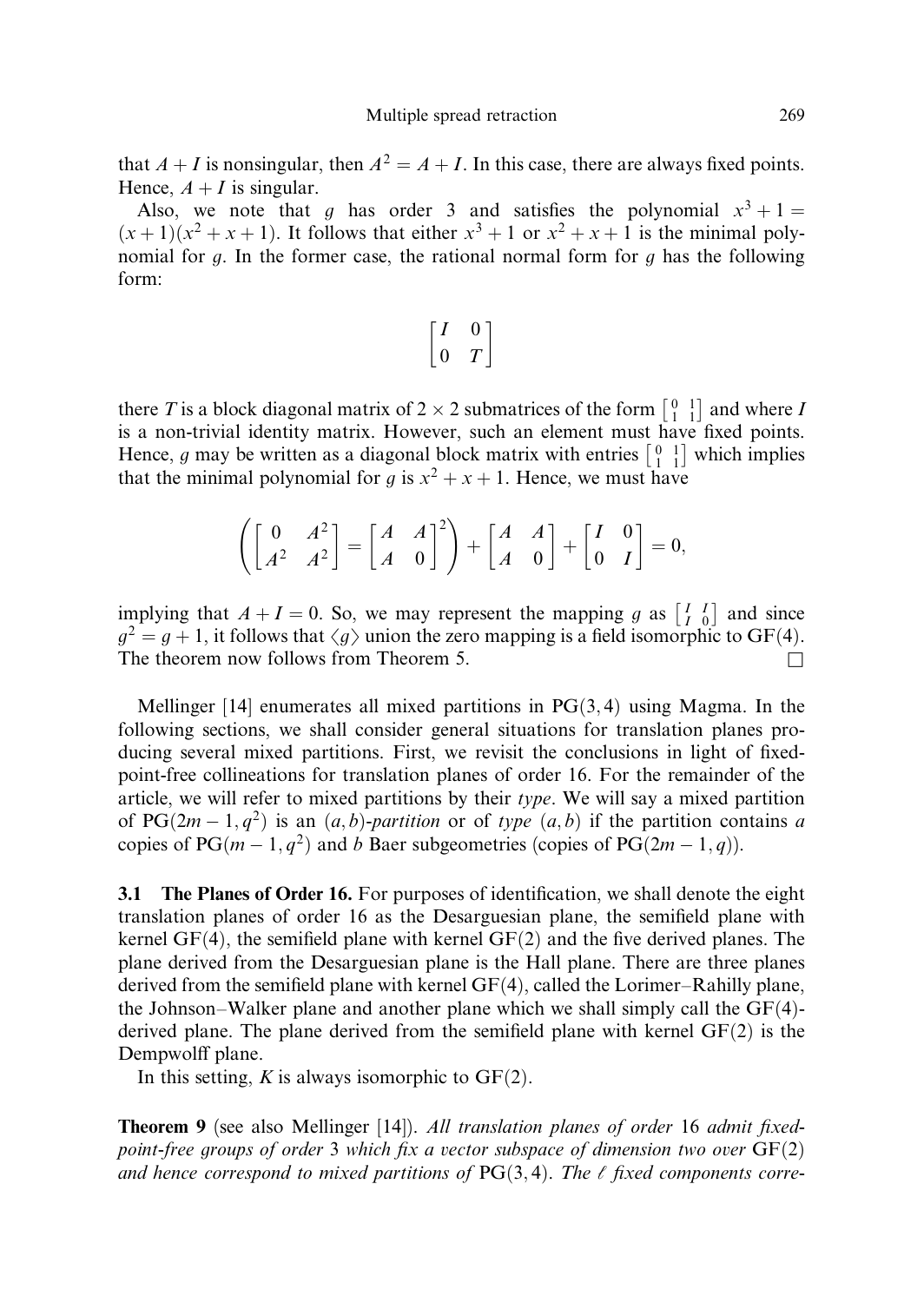that  $A + I$  is nonsingular, then  $A^2 = A + I$ . In this case, there are always fixed points. Hence,  $A + I$  is singular.

Also, we note that q has order 3 and satisfies the polynomial  $x^3 + 1 =$  $(x+1)(x<sup>2</sup> + x + 1)$ . It follows that either  $x<sup>3</sup> + 1$  or  $x<sup>2</sup> + x + 1$  is the minimal polynomial for g. In the former case, the rational normal form for g has the following form:

$$
\begin{bmatrix} I & 0 \\ 0 & T \end{bmatrix}
$$

there T is a block diagonal matrix of  $2 \times 2$  submatrices of the form  $\begin{bmatrix} 0 & 1 \\ 1 & 1 \end{bmatrix}$  $\vert$  and where *I* is a non-trivial identity matrix. However, such an element must have fixed points. Hence, g may be written as a diagonal block matrix with entries  $\begin{bmatrix} 0 & 1 \\ 1 & 1 \end{bmatrix}$ which implies that the minimal polynomial for g is  $x^2 + x + 1$ . Hence, we must have

$$
\left(\begin{bmatrix} 0 & A^2 \\ A^2 & A^2 \end{bmatrix} = \begin{bmatrix} A & A \\ A & 0 \end{bmatrix}^2\right) + \begin{bmatrix} A & A \\ A & 0 \end{bmatrix} + \begin{bmatrix} I & 0 \\ 0 & I \end{bmatrix} = 0,
$$

implying that  $A + I = 0$ . So, we may represent the mapping g as  $\begin{bmatrix} I & I \\ I & 0 \end{bmatrix}$  and since  $g^2 = g + 1$ , it follows that  $\langle g \rangle$  union the zero mapping is a field isomorphic to GF(4). The theorem now follows from Theorem 5.  $\Box$ 

Mellinger [14] enumerates all mixed partitions in  $PG(3, 4)$  using Magma. In the following sections, we shall consider general situations for translation planes producing several mixed partitions. First, we revisit the conclusions in light of fixedpoint-free collineations for translation planes of order 16. For the remainder of the article, we will refer to mixed partitions by their *type*. We will say a mixed partition of PG $(2m-1, q^2)$  is an  $(a, b)$ -partition or of type  $(a, b)$  if the partition contains a copies of PG $(m-1, q^2)$  and b Baer subgeometries (copies of PG $(2m-1, q)$ ).

3.1 The Planes of Order 16. For purposes of identification, we shall denote the eight translation planes of order 16 as the Desarguesian plane, the semifield plane with kernel  $GF(4)$ , the semifield plane with kernel  $GF(2)$  and the five derived planes. The plane derived from the Desarguesian plane is the Hall plane. There are three planes derived from the semifield plane with kernel  $GF(4)$ , called the Lorimer–Rahilly plane, the Johnson–Walker plane and another plane which we shall simply call the  $GF(4)$ derived plane. The plane derived from the semifield plane with kernel  $GF(2)$  is the Dempwolff plane.

In this setting, K is always isomorphic to  $GF(2)$ .

**Theorem 9** (see also Mellinger [14]). All translation planes of order 16 admit fixedpoint-free groups of order 3 which fix a vector subspace of dimension two over  $GF(2)$ and hence correspond to mixed partitions of  $PG(3, 4)$ . The  $\ell$  fixed components corre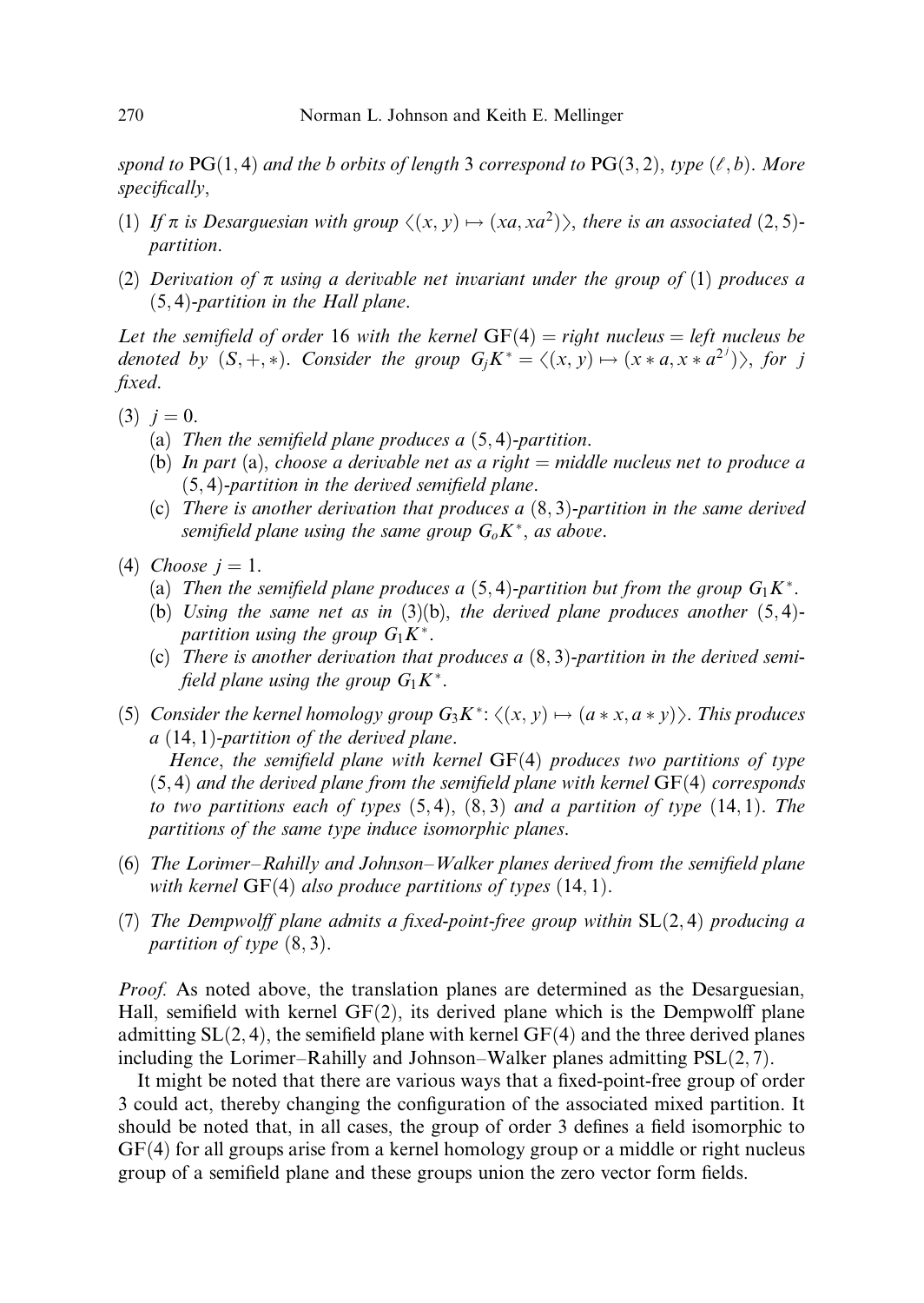spond to  $PG(1,4)$  and the b orbits of length 3 correspond to  $PG(3,2)$ , type  $(\ell, b)$ . More specifically,

- (1) If  $\pi$  is Desarguesian with group  $\langle x, y \rangle \mapsto \langle xa, xa^2 \rangle$ , there is an associated (2,5)partition.
- (2) Derivation of  $\pi$  using a derivable net invariant under the group of (1) produces a  $(5, 4)$ -partition in the Hall plane.

Let the semifield of order 16 with the kernel  $GF(4) = right$  nucleus = left nucleus be denoted by  $(S, +, *)$ . Consider the group  $G_j K^* = \langle (x, y) \mapsto (x * a, x * a^{2^j}) \rangle$ , for j fixed.

- $(3)$   $j = 0$ .
	- (a) Then the semifield plane produces a  $(5, 4)$ -partition.
	- (b) In part (a), choose a derivable net as a right  $=$  middle nucleus net to produce a  $(5, 4)$ -partition in the derived semifield plane.
	- (c) There is another derivation that produces a  $(8,3)$ -partition in the same derived semifield plane using the same group  $G_0K^*$ , as above.
- (4) Choose  $i = 1$ .
	- (a) Then the semifield plane produces a  $(5,4)$ -partition but from the group  $G_1K^*$ .
	- (b) Using the same net as in (3)(b), the derived plane produces another  $(5,4)$ partition using the group  $G_1K^*$ .
	- (c) There is another derivation that produces a  $(8, 3)$ -partition in the derived semifield plane using the group  $G_1K^*$ .
- (5) Consider the kernel homology group  $G_3K^*$ :  $\langle (x, y) \mapsto (a * x, a * y) \rangle$ . This produces  $a(14, 1)$ -partition of the derived plane.

Hence, the semifield plane with kernel  $GF(4)$  produces two partitions of type  $(5, 4)$  and the derived plane from the semifield plane with kernel  $GF(4)$  corresponds to two partitions each of types  $(5,4)$ ,  $(8,3)$  and a partition of type  $(14,1)$ . The partitions of the same type induce isomorphic planes.

- (6) The Lorimer–Rahilly and Johnson–Walker planes derived from the semifield plane with kernel  $GF(4)$  also produce partitions of types  $(14, 1)$ .
- (7) The Dempwolff plane admits a fixed-point-free group within  $SL(2,4)$  producing a partition of type  $(8, 3)$ .

Proof. As noted above, the translation planes are determined as the Desarguesian, Hall, semifield with kernel  $GF(2)$ , its derived plane which is the Dempwolff plane admitting  $SL(2, 4)$ , the semifield plane with kernel  $GF(4)$  and the three derived planes including the Lorimer–Rahilly and Johnson–Walker planes admitting  $PSL(2, 7)$ .

It might be noted that there are various ways that a fixed-point-free group of order 3 could act, thereby changing the configuration of the associated mixed partition. It should be noted that, in all cases, the group of order 3 defines a field isomorphic to  $GF(4)$  for all groups arise from a kernel homology group or a middle or right nucleus group of a semifield plane and these groups union the zero vector form fields.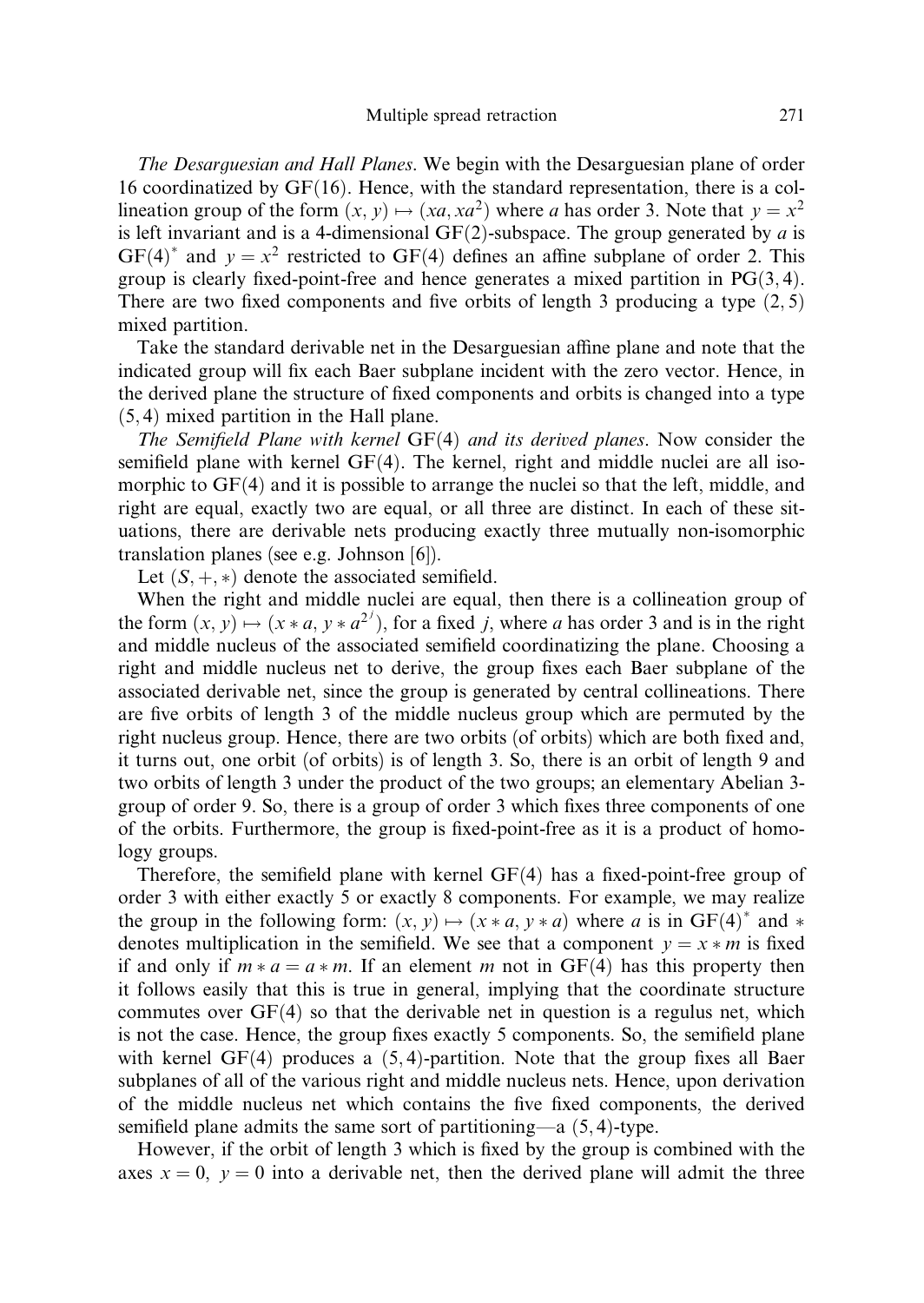The Desarguesian and Hall Planes. We begin with the Desarguesian plane of order 16 coordinatized by  $GF(16)$ . Hence, with the standard representation, there is a collineation group of the form  $(x, y) \mapsto (xa, xa^2)$  where a has order 3. Note that  $y = x^2$ is left invariant and is a 4-dimensional  $GF(2)$ -subspace. The group generated by a is  $GF(4)^*$  and  $y = x^2$  restricted to  $GF(4)$  defines an affine subplane of order 2. This group is clearly fixed-point-free and hence generates a mixed partition in  $PG(3, 4)$ . There are two fixed components and five orbits of length 3 producing a type  $(2, 5)$ mixed partition.

Take the standard derivable net in the Desarguesian affine plane and note that the indicated group will fix each Baer subplane incident with the zero vector. Hence, in the derived plane the structure of fixed components and orbits is changed into a type  $(5, 4)$  mixed partition in the Hall plane.

The Semifield Plane with kernel  $GF(4)$  and its derived planes. Now consider the semifield plane with kernel  $GF(4)$ . The kernel, right and middle nuclei are all isomorphic to  $GF(4)$  and it is possible to arrange the nuclei so that the left, middle, and right are equal, exactly two are equal, or all three are distinct. In each of these situations, there are derivable nets producing exactly three mutually non-isomorphic translation planes (see e.g. Johnson [6]).

Let  $(S, +, *)$  denote the associated semifield.

When the right and middle nuclei are equal, then there is a collineation group of the form  $(x, y) \mapsto (x * a, y * a^{2^{j}})$ , for a fixed j, where a has order 3 and is in the right and middle nucleus of the associated semifield coordinatizing the plane. Choosing a right and middle nucleus net to derive, the group fixes each Baer subplane of the associated derivable net, since the group is generated by central collineations. There are five orbits of length 3 of the middle nucleus group which are permuted by the right nucleus group. Hence, there are two orbits (of orbits) which are both fixed and, it turns out, one orbit (of orbits) is of length 3. So, there is an orbit of length 9 and two orbits of length 3 under the product of the two groups; an elementary Abelian 3 group of order 9. So, there is a group of order 3 which fixes three components of one of the orbits. Furthermore, the group is fixed-point-free as it is a product of homology groups.

Therefore, the semifield plane with kernel  $GF(4)$  has a fixed-point-free group of order 3 with either exactly 5 or exactly 8 components. For example, we may realize the group in the following form:  $(x, y) \mapsto (x * a, y * a)$  where a is in GF(4)\* and \* denotes multiplication in the semifield. We see that a component  $y = x * m$  is fixed if and only if  $m * a = a * m$ . If an element m not in GF(4) has this property then it follows easily that this is true in general, implying that the coordinate structure commutes over  $GF(4)$  so that the derivable net in question is a regulus net, which is not the case. Hence, the group fixes exactly 5 components. So, the semifield plane with kernel  $GF(4)$  produces a  $(5, 4)$ -partition. Note that the group fixes all Baer subplanes of all of the various right and middle nucleus nets. Hence, upon derivation of the middle nucleus net which contains the five fixed components, the derived semifield plane admits the same sort of partitioning—a  $(5, 4)$ -type.

However, if the orbit of length 3 which is fixed by the group is combined with the axes  $x = 0$ ,  $y = 0$  into a derivable net, then the derived plane will admit the three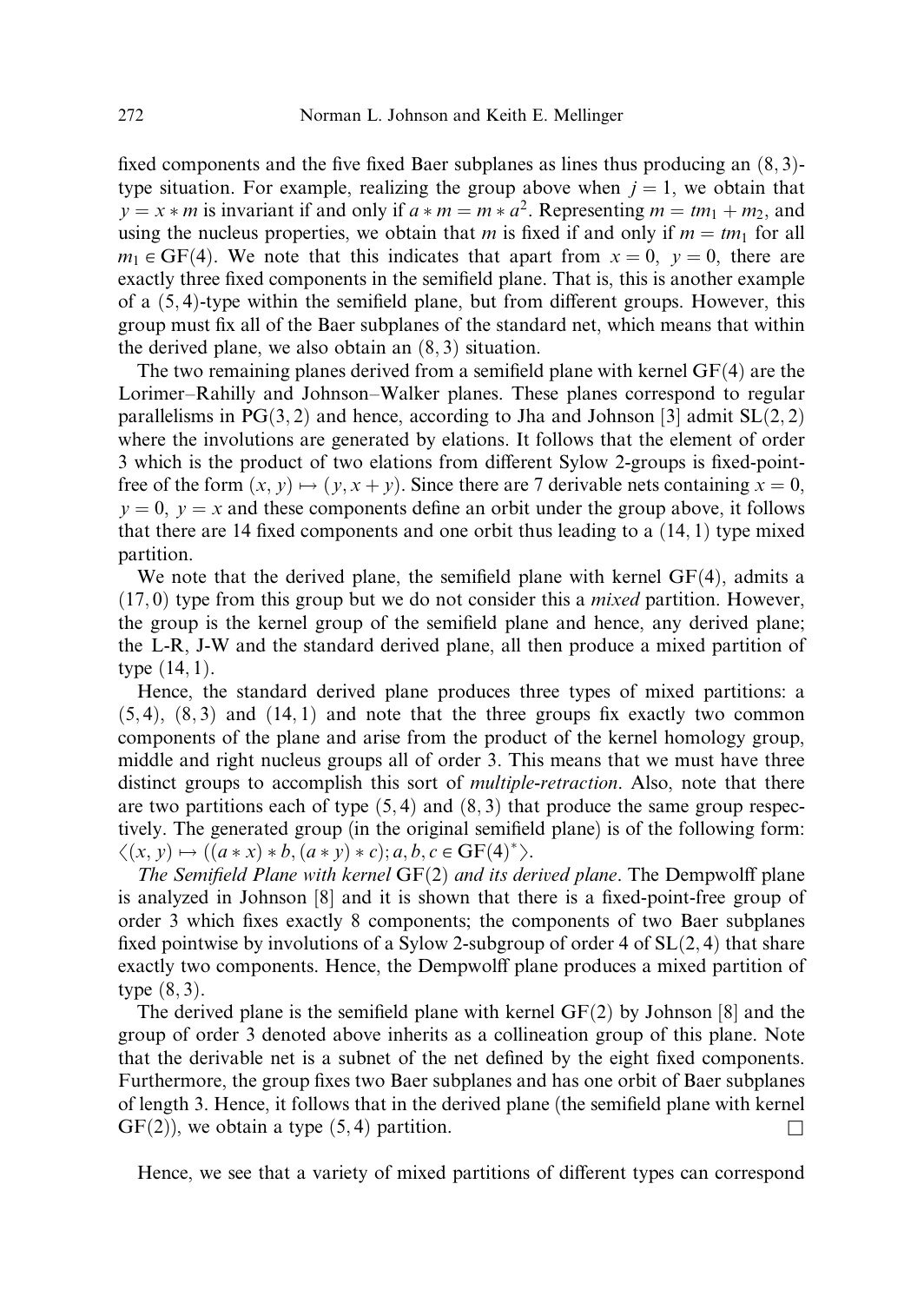fixed components and the five fixed Baer subplanes as lines thus producing an  $(8, 3)$ type situation. For example, realizing the group above when  $j = 1$ , we obtain that  $y = x * m$  is invariant if and only if  $a * m = m * a^2$ . Representing  $m = t m_1 + m_2$ , and using the nucleus properties, we obtain that m is fixed if and only if  $m = tm_1$  for all  $m_1 \in \text{GF}(4)$ . We note that this indicates that apart from  $x = 0$ ,  $y = 0$ , there are exactly three fixed components in the semifield plane. That is, this is another example of a  $(5, 4)$ -type within the semifield plane, but from different groups. However, this group must fix all of the Baer subplanes of the standard net, which means that within the derived plane, we also obtain an  $(8, 3)$  situation.

The two remaining planes derived from a semifield plane with kernel  $GF(4)$  are the Lorimer–Rahilly and Johnson–Walker planes. These planes correspond to regular parallelisms in  $PG(3, 2)$  and hence, according to Jha and Johnson [3] admit  $SL(2, 2)$ where the involutions are generated by elations. It follows that the element of order 3 which is the product of two elations from different Sylow 2-groups is fixed-pointfree of the form  $(x, y) \mapsto (y, x + y)$ . Since there are 7 derivable nets containing  $x = 0$ ,  $y = 0$ ,  $y = x$  and these components define an orbit under the group above, it follows that there are 14 fixed components and one orbit thus leading to a  $(14, 1)$  type mixed partition.

We note that the derived plane, the semifield plane with kernel  $GF(4)$ , admits a  $(17, 0)$  type from this group but we do not consider this a *mixed* partition. However, the group is the kernel group of the semifield plane and hence, any derived plane; the L-R, J-W and the standard derived plane, all then produce a mixed partition of type  $(14, 1)$ .

Hence, the standard derived plane produces three types of mixed partitions: a  $(5, 4)$ ,  $(8, 3)$  and  $(14, 1)$  and note that the three groups fix exactly two common components of the plane and arise from the product of the kernel homology group, middle and right nucleus groups all of order 3. This means that we must have three distinct groups to accomplish this sort of *multiple-retraction*. Also, note that there are two partitions each of type  $(5, 4)$  and  $(8, 3)$  that produce the same group respectively. The generated group (in the original semifield plane) is of the following form:  $\langle (x, y) \mapsto ((a * x) * b, (a * y) * c); a, b, c \in GF(4)^{*}\rangle.$ 

The Semifield Plane with kernel  $GF(2)$  and its derived plane. The Dempwolff plane is analyzed in Johnson [8] and it is shown that there is a fixed-point-free group of order 3 which fixes exactly 8 components; the components of two Baer subplanes fixed pointwise by involutions of a Sylow 2-subgroup of order 4 of  $SL(2, 4)$  that share exactly two components. Hence, the Dempwolff plane produces a mixed partition of type  $(8, 3)$ .

The derived plane is the semifield plane with kernel  $GF(2)$  by Johnson [8] and the group of order 3 denoted above inherits as a collineation group of this plane. Note that the derivable net is a subnet of the net defined by the eight fixed components. Furthermore, the group fixes two Baer subplanes and has one orbit of Baer subplanes of length 3. Hence, it follows that in the derived plane (the semifield plane with kernel  $GF(2)$ , we obtain a type  $(5, 4)$  partition.

Hence, we see that a variety of mixed partitions of different types can correspond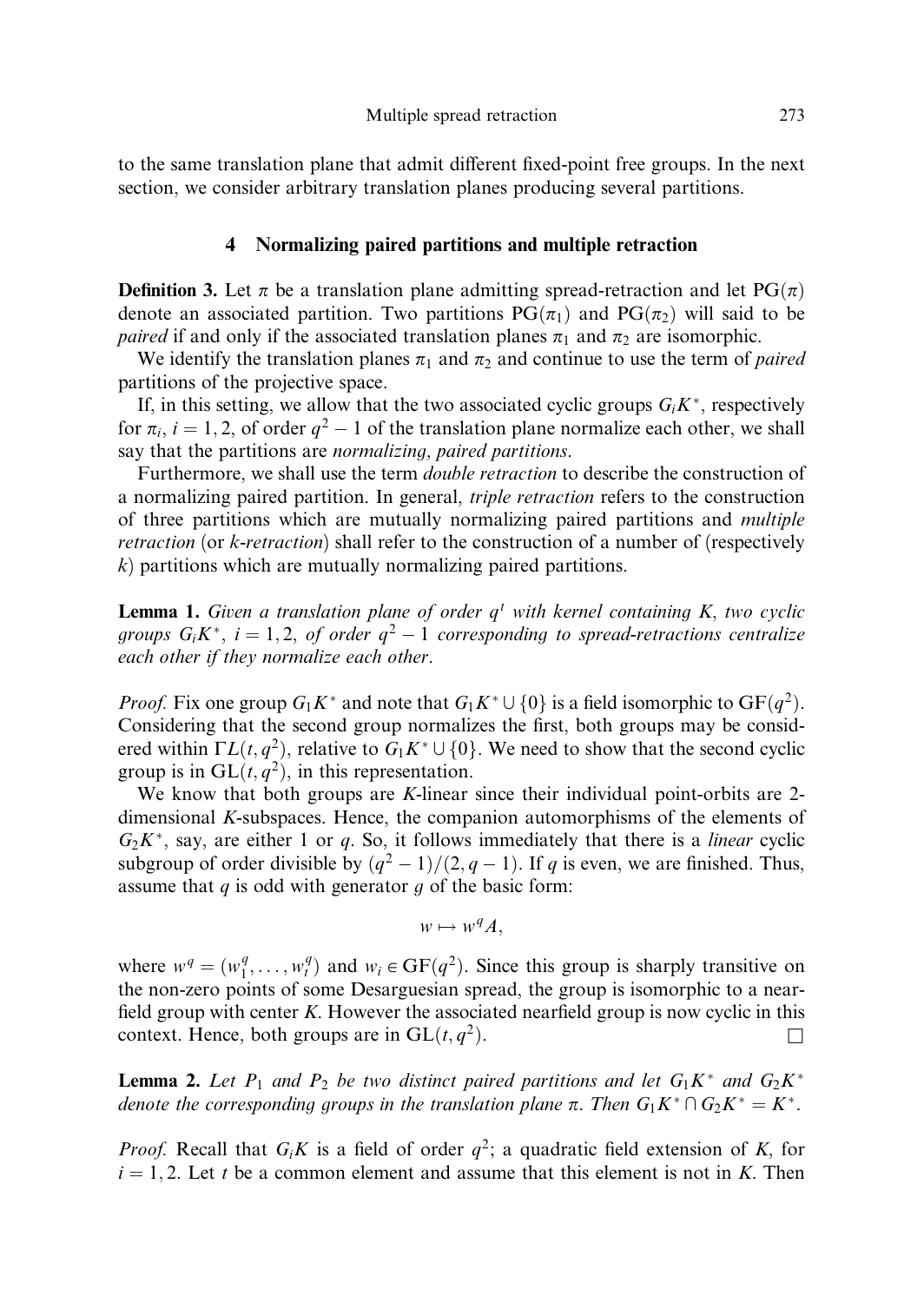to the same translation plane that admit different fixed-point free groups. In the next section, we consider arbitrary translation planes producing several partitions.

#### 4 Normalizing paired partitions and multiple retraction

**Definition 3.** Let  $\pi$  be a translation plane admitting spread-retraction and let PG $(\pi)$ denote an associated partition. Two partitions  $PG(\pi_1)$  and  $PG(\pi_2)$  will said to be paired if and only if the associated translation planes  $\pi_1$  and  $\pi_2$  are isomorphic.

We identify the translation planes  $\pi_1$  and  $\pi_2$  and continue to use the term of *paired* partitions of the projective space.

If, in this setting, we allow that the two associated cyclic groups  $G_iK^*$ , respectively for  $\pi_i$ ,  $i = 1, 2$ , of order  $q^2 - 1$  of the translation plane normalize each other, we shall say that the partitions are *normalizing*, *paired partitions*.

Furthermore, we shall use the term *double retraction* to describe the construction of a normalizing paired partition. In general, triple retraction refers to the construction of three partitions which are mutually normalizing paired partitions and multiple retraction (or k-retraction) shall refer to the construction of a number of (respectively  $k$ ) partitions which are mutually normalizing paired partitions.

**Lemma 1.** Given a translation plane of order  $q^t$  with kernel containing K, two cyclic groups  $G_i K^*$ ,  $i = 1, 2$ , of order  $q^2 - 1$  corresponding to spread-retractions centralize each other if they normalize each other.

*Proof.* Fix one group  $G_1K^*$  and note that  $G_1K^* \cup \{0\}$  is a field isomorphic to  $GF(q^2)$ . Considering that the second group normalizes the first, both groups may be considered within  $\Gamma L(t, q^2)$ , relative to  $G_1 K^* \cup \{0\}$ . We need to show that the second cyclic group is in  $GL(t, q^2)$ , in this representation.

We know that both groups are K-linear since their individual point-orbits are 2dimensional K-subspaces. Hence, the companion automorphisms of the elements of  $G_2K^*$ , say, are either 1 or q. So, it follows immediately that there is a *linear* cyclic subgroup of order divisible by  $\frac{q^2 - 1}{2, q - 1}$ . If q is even, we are finished. Thus, assume that  $q$  is odd with generator  $q$  of the basic form:

$$
w \mapsto w^q A,
$$

where  $w^q = (w_1^q, \dots, w_t^q)$  and  $w_i \in GF(q^2)$ . Since this group is sharply transitive on the non-zero points of some Desarguesian spread, the group is isomorphic to a nearfield group with center  $K$ . However the associated nearfield group is now cyclic in this context. Hence, both groups are in  $GL(t, q^2)$ .

**Lemma 2.** Let  $P_1$  and  $P_2$  be two distinct paired partitions and let  $G_1K^*$  and  $G_2K^*$ denote the corresponding groups in the translation plane  $\pi$ . Then  $G_1K^* \cap G_2K^* = K^*$ .

*Proof.* Recall that  $G_iK$  is a field of order  $q^2$ ; a quadratic field extension of K, for  $i = 1, 2$ . Let t be a common element and assume that this element is not in K. Then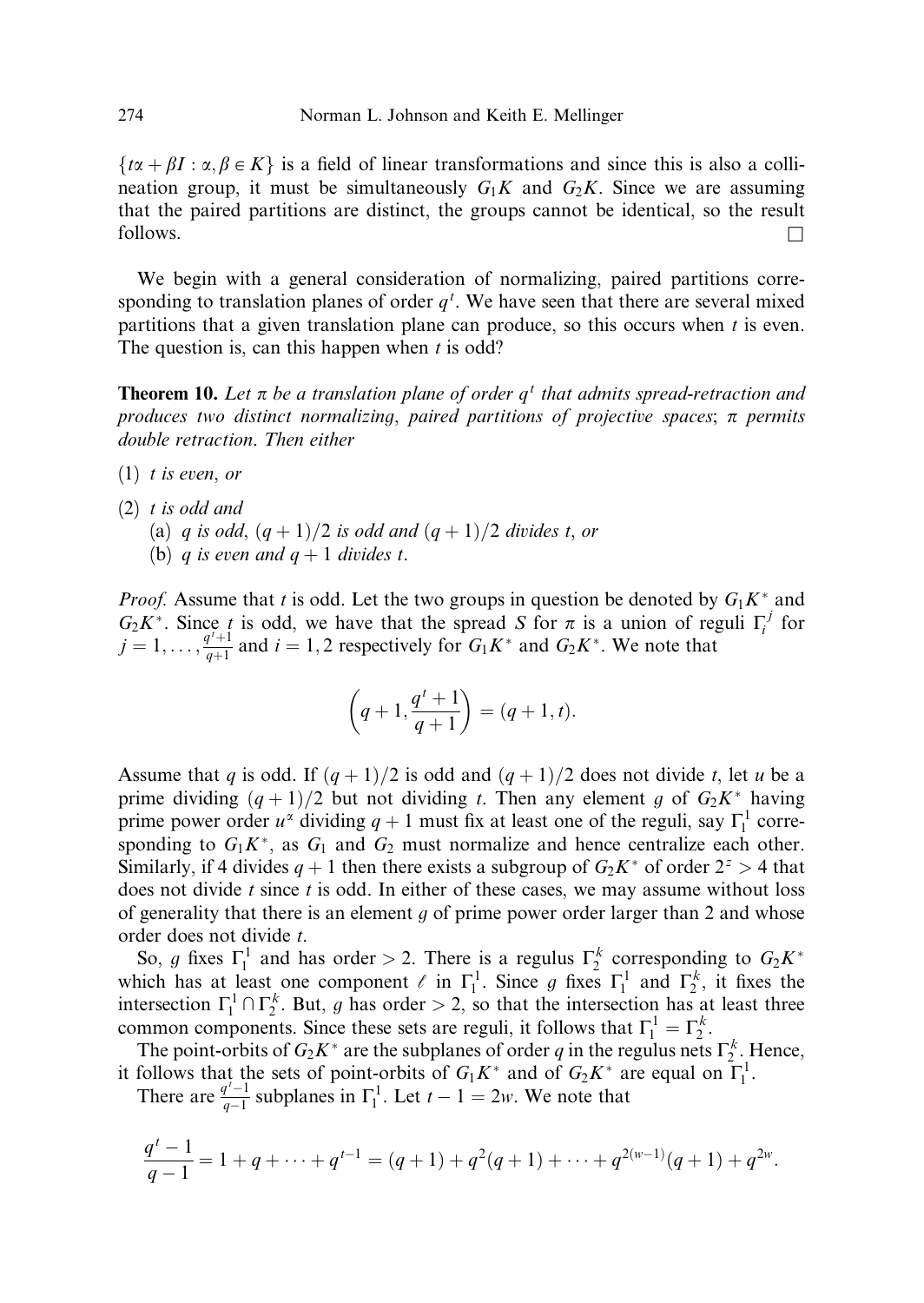$\{\tau \alpha + \beta I : \alpha, \beta \in K\}$  is a field of linear transformations and since this is also a collineation group, it must be simultaneously  $G_1K$  and  $G_2K$ . Since we are assuming that the paired partitions are distinct, the groups cannot be identical, so the result  $\Box$  follows.  $\Box$ 

We begin with a general consideration of normalizing, paired partitions corresponding to translation planes of order  $q<sup>t</sup>$ . We have seen that there are several mixed partitions that a given translation plane can produce, so this occurs when  $t$  is even. The question is, can this happen when  $t$  is odd?

**Theorem 10.** Let  $\pi$  be a translation plane of order  $q<sup>t</sup>$  that admits spread-retraction and produces two distinct normalizing, paired partitions of projective spaces;  $\pi$  permits double retraction. Then either

- $(1)$  t is even, or
- (2) t is odd and
	- (a) q is odd,  $(q + 1)/2$  is odd and  $(q + 1)/2$  divides t, or
	- (b) q is even and  $q + 1$  divides t.

*Proof.* Assume that t is odd. Let the two groups in question be denoted by  $G_1K^*$  and  $G_2 K^*$ . Since t is odd, we have that the spread S for  $\pi$  is a union of reguli  $\Gamma_i^j$  for  $j = 1, \ldots, \frac{q^i + 1}{q+1}$  and  $i = 1, 2$  respectively for  $G_1 K^*$  and  $G_2 K^*$ . We note that

$$
\left(q+1,\frac{q^t+1}{q+1}\right)=(q+1,t).
$$

Assume that q is odd. If  $(q+1)/2$  is odd and  $(q+1)/2$  does not divide t, let u be a prime dividing  $(q+1)/2$  but not dividing t. Then any element g of  $G_2K^*$  having prime power order  $u^{\alpha}$  dividing  $q + 1$  must fix at least one of the reguli, say  $\Gamma_1^1$  corresponding to  $G_1K^*$ , as  $G_1$  and  $G_2$  must normalize and hence centralize each other. Similarly, if 4 divides  $q + 1$  then there exists a subgroup of  $G_2K^*$  of order  $2^z > 4$  that does not divide  $t$  since  $t$  is odd. In either of these cases, we may assume without loss of generality that there is an element  $g$  of prime power order larger than 2 and whose order does not divide t.

So, g fixes  $\Gamma_1^1$  and has order > 2. There is a regulus  $\Gamma_2^k$  corresponding to  $G_2K^*$ which has at least one component  $\ell$  in  $\Gamma_1^1$ . Since g fixes  $\Gamma_1^1$  and  $\Gamma_2^k$ , it fixes the intersection  $\Gamma_1^1 \cap \Gamma_2^k$ . But, g has order > 2, so that the intersection has at least three common components. Since these sets are reguli, it follows that  $\Gamma_1^1 = \Gamma_2^k$ .

The point-orbits of  $G_2K^*$  are the subplanes of order q in the regulus nets  $\Gamma_2^k$ . Hence, it follows that the sets of point-orbits of  $G_1K^*$  and of  $G_2K^*$  are equal on  $\Gamma_1^1$ .

There are  $\frac{q^{t}-1}{q-1}$  $\frac{T^{t-1}}{q-1}$  subplanes in  $\Gamma_1^1$ . Let  $t-1=2w$ . We note that

$$
\frac{q^{t}-1}{q-1}=1+q+\cdots+q^{t-1}=(q+1)+q^{2}(q+1)+\cdots+q^{2(w-1)}(q+1)+q^{2w}.
$$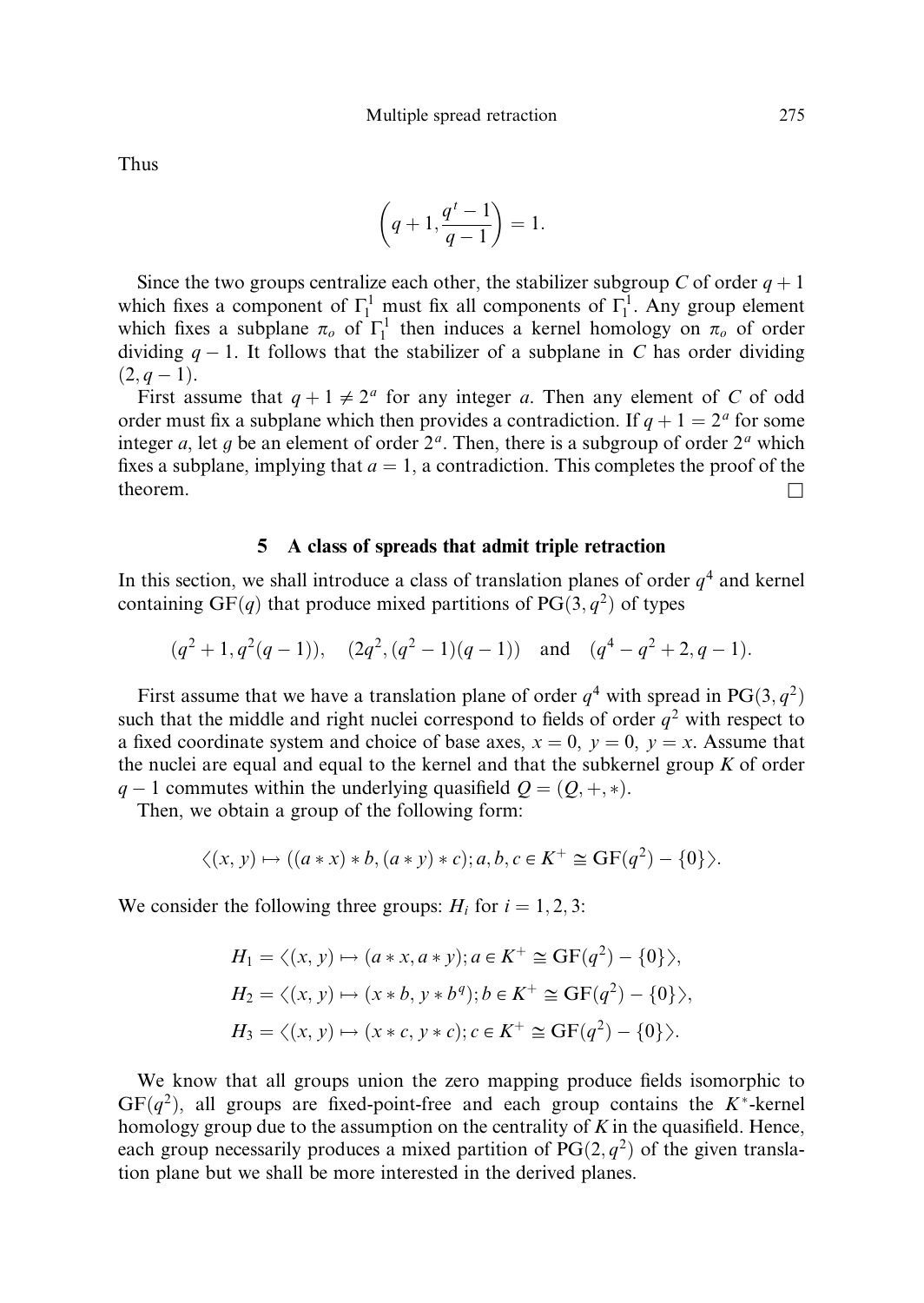Thus

$$
\left(q+1,\frac{q^t-1}{q-1}\right)=1.
$$

Since the two groups centralize each other, the stabilizer subgroup C of order  $q + 1$ which fixes a component of  $\Gamma_1^1$  must fix all components of  $\Gamma_1^1$ . Any group element which fixes a subplane  $\pi_o$  of  $\Gamma_1^1$  then induces a kernel homology on  $\pi_o$  of order dividing  $q-1$ . It follows that the stabilizer of a subplane in C has order dividing  $(2, q-1).$ 

First assume that  $q + 1 \neq 2^a$  for any integer a. Then any element of C of odd order must fix a subplane which then provides a contradiction. If  $q + 1 = 2^a$  for some integer a, let g be an element of order  $2<sup>a</sup>$ . Then, there is a subgroup of order  $2<sup>a</sup>$  which fixes a subplane, implying that  $a = 1$ , a contradiction. This completes the proof of the theorem.  $\Box$ 

#### 5 A class of spreads that admit triple retraction

In this section, we shall introduce a class of translation planes of order  $q<sup>4</sup>$  and kernel containing GF $(q)$  that produce mixed partitions of PG $(3, q^2)$  of types

$$
(q^2+1, q^2(q-1)), (2q^2, (q^2-1)(q-1))
$$
 and  $(q^4-q^2+2, q-1).$ 

First assume that we have a translation plane of order  $q^4$  with spread in PG $(3, q^2)$ such that the middle and right nuclei correspond to fields of order  $q^2$  with respect to a fixed coordinate system and choice of base axes,  $x = 0$ ,  $y = 0$ ,  $y = x$ . Assume that the nuclei are equal and equal to the kernel and that the subkernel group  $K$  of order  $q-1$  commutes within the underlying quasifield  $Q = (Q, +, *)$ .

Then, we obtain a group of the following form:

$$
\langle (x, y) \mapsto ((a * x) * b, (a * y) * c); a, b, c \in K^+ \cong GF(q^2) - \{0\} \rangle.
$$

We consider the following three groups:  $H_i$  for  $i = 1, 2, 3$ :

$$
H_1 = \langle (x, y) \mapsto (a * x, a * y); a \in K^+ \cong \text{GF}(q^2) - \{0\} \rangle,
$$
  
\n
$$
H_2 = \langle (x, y) \mapsto (x * b, y * b^q); b \in K^+ \cong \text{GF}(q^2) - \{0\} \rangle,
$$
  
\n
$$
H_3 = \langle (x, y) \mapsto (x * c, y * c); c \in K^+ \cong \text{GF}(q^2) - \{0\} \rangle.
$$

We know that all groups union the zero mapping produce fields isomorphic to  $GF(q^2)$ , all groups are fixed-point-free and each group contains the K<sup>\*</sup>-kernel homology group due to the assumption on the centrality of  $K$  in the quasifield. Hence, each group necessarily produces a mixed partition of  $PG(2, q^2)$  of the given translation plane but we shall be more interested in the derived planes.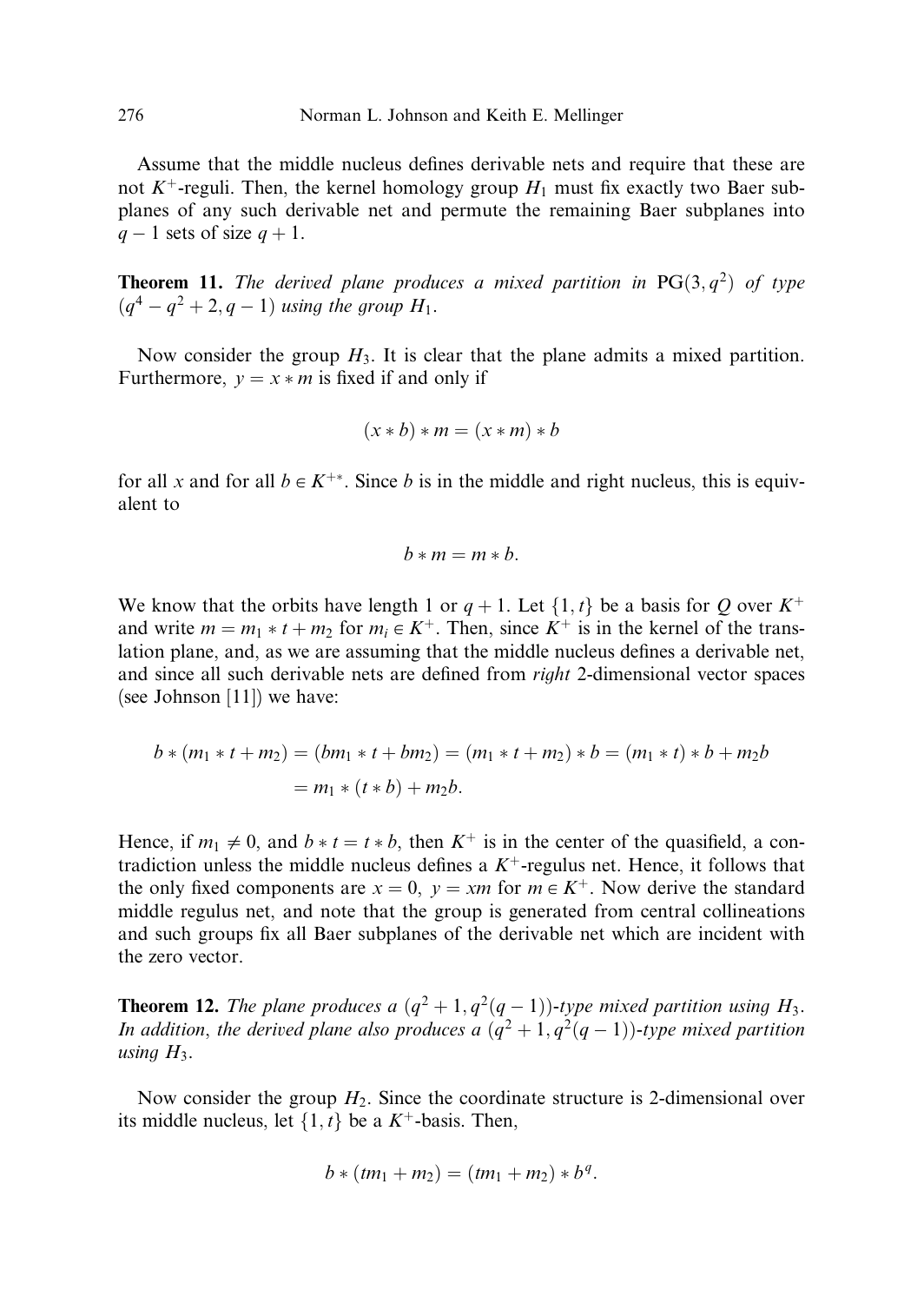Assume that the middle nucleus defines derivable nets and require that these are not  $K^+$ -reguli. Then, the kernel homology group  $H_1$  must fix exactly two Baer subplanes of any such derivable net and permute the remaining Baer subplanes into  $q-1$  sets of size  $q+1$ .

**Theorem 11.** The derived plane produces a mixed partition in  $PG(3, q^2)$  of type  $(q^4 - q^2 + 2, q - 1)$  using the group  $H_1$ .

Now consider the group  $H_3$ . It is clear that the plane admits a mixed partition. Furthermore,  $y = x * m$  is fixed if and only if

$$
(x * b) * m = (x * m) * b
$$

for all x and for all  $b \in K^{+*}$ . Since b is in the middle and right nucleus, this is equivalent to

$$
b*m = m*b.
$$

We know that the orbits have length 1 or  $q + 1$ . Let  $\{1, t\}$  be a basis for Q over  $K^+$ and write  $m = m_1 * t + m_2$  for  $m_i \in K^+$ . Then, since  $K^+$  is in the kernel of the translation plane, and, as we are assuming that the middle nucleus defines a derivable net, and since all such derivable nets are defined from right 2-dimensional vector spaces (see Johnson [11]) we have:

$$
b * (m_1 * t + m_2) = (bm_1 * t + bm_2) = (m_1 * t + m_2) * b = (m_1 * t) * b + m_2b
$$
  
=  $m_1 * (t * b) + m_2b$ .

Hence, if  $m_1 \neq 0$ , and  $b * t = t * b$ , then  $K^+$  is in the center of the quasifield, a contradiction unless the middle nucleus defines a  $K^+$ -regulus net. Hence, it follows that the only fixed components are  $x = 0$ ,  $y = xm$  for  $m \in K^{+}$ . Now derive the standard middle regulus net, and note that the group is generated from central collineations and such groups fix all Baer subplanes of the derivable net which are incident with the zero vector.

**Theorem 12.** The plane produces a  $(q^2 + 1, q^2(q - 1))$ -type mixed partition using  $H_3$ . In addition, the derived plane also produces a  $(q^2 + 1, q^2(q - 1))$ -type mixed partition using  $H_3$ .

Now consider the group  $H_2$ . Since the coordinate structure is 2-dimensional over its middle nucleus, let  $\{1, t\}$  be a  $K^+$ -basis. Then,

$$
b * (tm_1 + m_2) = (tm_1 + m_2) * b^q.
$$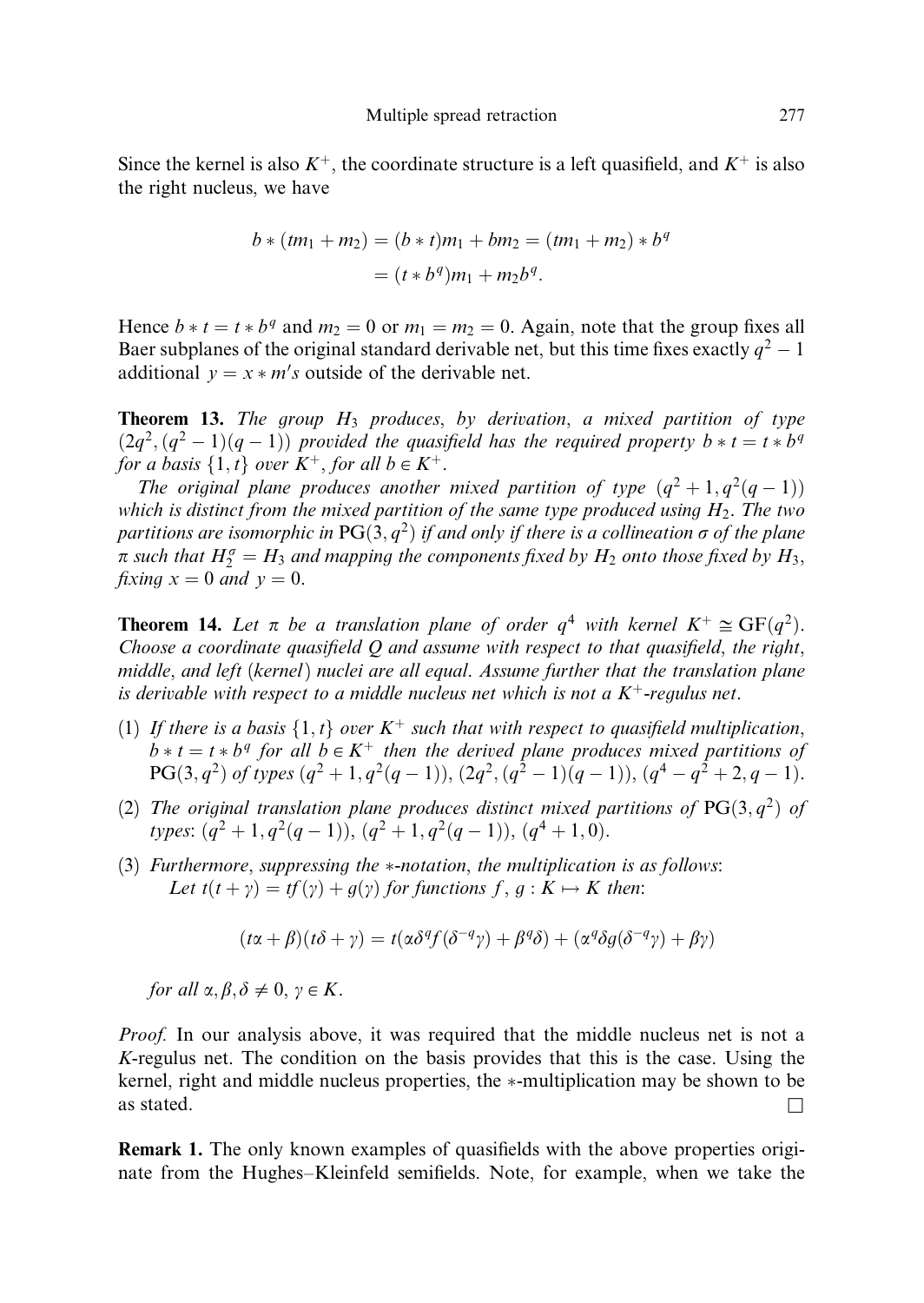Since the kernel is also  $K^+$ , the coordinate structure is a left quasifield, and  $K^+$  is also the right nucleus, we have

$$
b * (tm_1 + m_2) = (b * t)m_1 + bm_2 = (tm_1 + m_2) * bq
$$
  
=  $(t * bq)m_1 + m_2bq$ .

Hence  $b * t = t * b^q$  and  $m_2 = 0$  or  $m_1 = m_2 = 0$ . Again, note that the group fixes all Baer subplanes of the original standard derivable net, but this time fixes exactly  $q^2 - 1$ additional  $y = x * m's$  outside of the derivable net.

**Theorem 13.** The group  $H_3$  produces, by derivation, a mixed partition of type  $(2q^2, (q^2 - 1)(q - 1))$  provided the quasifield has the required property  $b * t = t * b^q$ for a basis  $\{1, t\}$  over  $K^+$ , for all  $b \in K^+$ .

The original plane produces another mixed partition of type  $(q^2 + 1, q^2(q - 1))$ which is distinct from the mixed partition of the same type produced using  $H_2$ . The two partitions are isomorphic in  $PG(3, q^2)$  if and only if there is a collineation  $\sigma$  of the plane  $\pi$  such that  $H_2^{\sigma} = H_3$  and mapping the components fixed by  $H_2$  onto those fixed by  $H_3$ , fixing  $x = 0$  and  $y = 0$ .

**Theorem 14.** Let  $\pi$  be a translation plane of order  $q^4$  with kernel  $K^+ \cong GF(q^2)$ . Choose a coordinate quasifield  $Q$  and assume with respect to that quasifield, the right, middle, and left (kernel) nuclei are all equal. Assume further that the translation plane is derivable with respect to a middle nucleus net which is not a  $K^+$ -regulus net.

- (1) If there is a basis  $\{1,t\}$  over  $K^+$  such that with respect to quasifield multiplication,  $b * t = t * b<sup>q</sup>$  for all  $b \in K<sup>+</sup>$  then the derived plane produces mixed partitions of  $PG(3, q^2)$  of types  $(q^2 + 1, q^2(q - 1)), (2q^2, (q^2 - 1)(q - 1)), (q^4 - q^2 + 2, q - 1).$
- (2) The original translation plane produces distinct mixed partitions of  $PG(3, q^2)$  of types:  $(q^2 + 1, q^2(q - 1))$ ,  $(q^2 + 1, q^2(q - 1))$ ,  $(q^4 + 1, 0)$ .
- (3) Furthermore, suppressing the  $*$ -notation, the multiplication is as follows: Let  $t(t + \gamma) = tf(\gamma) + g(\gamma)$  for functions  $f, g: K \mapsto K$  then:

$$
(t\alpha + \beta)(t\delta + \gamma) = t(\alpha\delta^q f(\delta^{-q}\gamma) + \beta^q \delta) + (\alpha^q \delta g(\delta^{-q}\gamma) + \beta\gamma)
$$

for all  $\alpha, \beta, \delta \neq 0, \gamma \in K$ .

Proof. In our analysis above, it was required that the middle nucleus net is not a K-regulus net. The condition on the basis provides that this is the case. Using the kernel, right and middle nucleus properties, the  $*$ -multiplication may be shown to be as stated.  $\Box$ 

Remark 1. The only known examples of quasifields with the above properties originate from the Hughes–Kleinfeld semifields. Note, for example, when we take the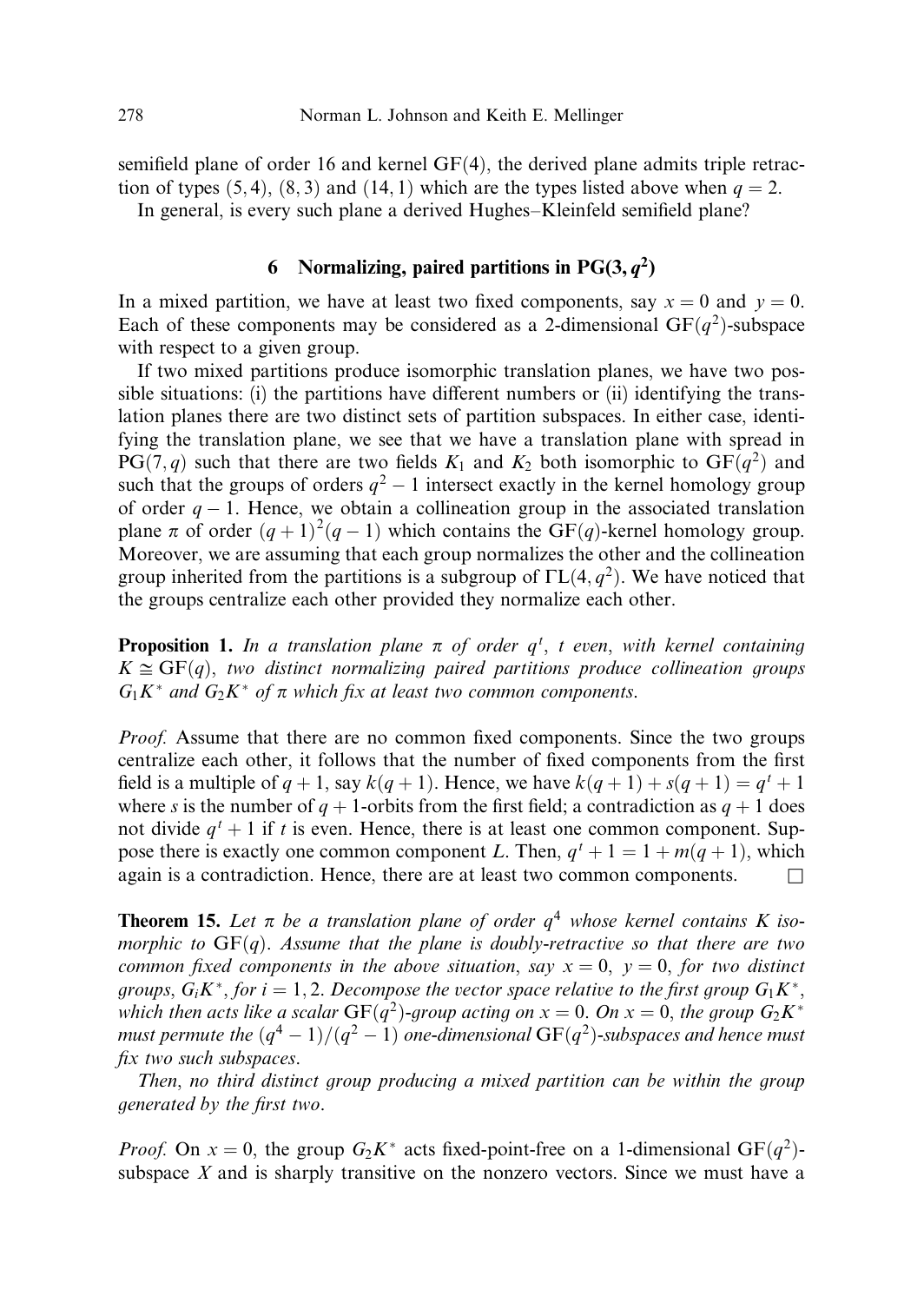semifield plane of order 16 and kernel  $GF(4)$ , the derived plane admits triple retraction of types  $(5, 4)$ ,  $(8, 3)$  and  $(14, 1)$  which are the types listed above when  $q = 2$ . In general, is every such plane a derived Hughes–Kleinfeld semifield plane?

# 6 Normalizing, paired partitions in  $PG(3, q^2)$

In a mixed partition, we have at least two fixed components, say  $x = 0$  and  $y = 0$ . Each of these components may be considered as a 2-dimensional  $GF(q^2)$ -subspace with respect to a given group.

If two mixed partitions produce isomorphic translation planes, we have two possible situations: (i) the partitions have different numbers or (ii) identifying the translation planes there are two distinct sets of partition subspaces. In either case, identifying the translation plane, we see that we have a translation plane with spread in  $PG(7, q)$  such that there are two fields  $K_1$  and  $K_2$  both isomorphic to  $GF(q^2)$  and such that the groups of orders  $q^2 - 1$  intersect exactly in the kernel homology group of order  $q-1$ . Hence, we obtain a collineation group in the associated translation plane  $\pi$  of order  $(q + 1)^2(q - 1)$  which contains the GF $(q)$ -kernel homology group. Moreover, we are assuming that each group normalizes the other and the collineation group inherited from the partitions is a subgroup of  $\Gamma L(4, q^2)$ . We have noticed that the groups centralize each other provided they normalize each other.

**Proposition 1.** In a translation plane  $\pi$  of order  $q^t$ , t even, with kernel containing  $K \cong GF(q)$ , two distinct normalizing paired partitions produce collineation groups  $G_1K^*$  and  $G_2K^*$  of  $\pi$  which fix at least two common components.

Proof. Assume that there are no common fixed components. Since the two groups centralize each other, it follows that the number of fixed components from the first field is a multiple of  $q + 1$ , say  $k(q + 1)$ . Hence, we have  $k(q + 1) + s(q + 1) = q<sup>t</sup> + 1$ where s is the number of  $q + 1$ -orbits from the first field; a contradiction as  $q + 1$  does not divide  $q' + 1$  if t is even. Hence, there is at least one common component. Suppose there is exactly one common component L. Then,  $q^t + 1 = 1 + m(q + 1)$ , which again is a contradiction. Hence, there are at least two common components.  $\Box$ 

**Theorem 15.** Let  $\pi$  be a translation plane of order  $q<sup>4</sup>$  whose kernel contains K isomorphic to  $GF(q)$ . Assume that the plane is doubly-retractive so that there are two common fixed components in the above situation, say  $x = 0$ ,  $y = 0$ , for two distinct groups,  $G_i K^*$ , for  $i = 1, 2$ . Decompose the vector space relative to the first group  $G_1 K^*$ , which then acts like a scalar  $GF(q^2)$ -group acting on  $x = 0$ . On  $x = 0$ , the group  $G_2K^*$ must permute the  $(q^4-1)/(q^2-1)$  one-dimensional  $\mathrm{GF}(q^2)$ -subspaces and hence must fix two such subspaces.

Then, no third distinct group producing a mixed partition can be within the group generated by the first two.

*Proof.* On  $x = 0$ , the group  $G_2K^*$  acts fixed-point-free on a 1-dimensional  $GF(q^2)$ subspace  $X$  and is sharply transitive on the nonzero vectors. Since we must have a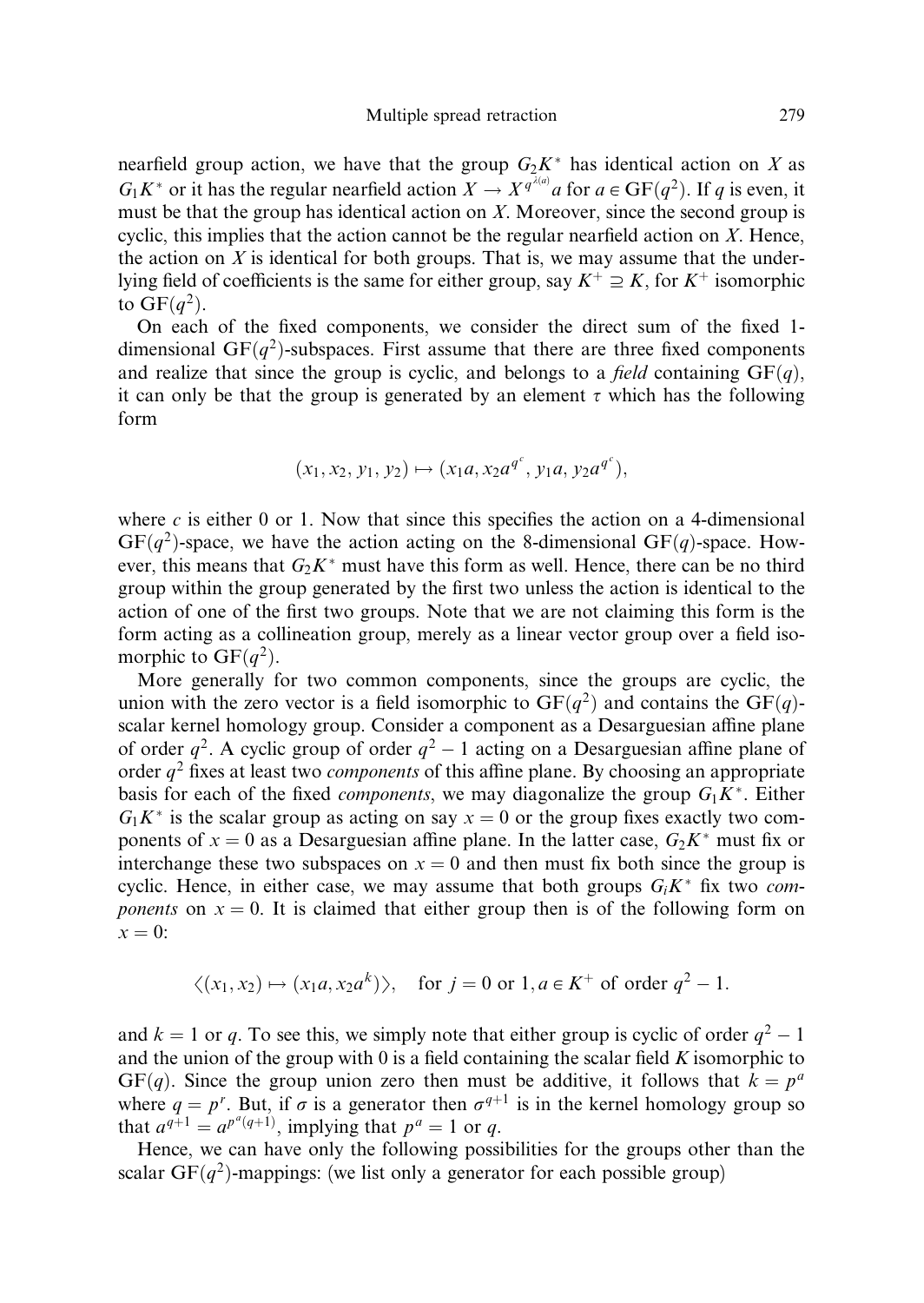nearfield group action, we have that the group  $G_2K^*$  has identical action on X as  $G_1K^*$  or it has the regular nearfield action  $X \to X^{q^{\lambda(a)}}a$  for  $a \in \mathrm{GF}(q^2)$ . If q is even, it must be that the group has identical action on  $X$ . Moreover, since the second group is cyclic, this implies that the action cannot be the regular nearfield action on  $X$ . Hence, the action on  $X$  is identical for both groups. That is, we may assume that the underlying field of coefficients is the same for either group, say  $K^+ \supseteq K$ , for  $K^+$  isomorphic to  $GF(a^2)$ .

On each of the fixed components, we consider the direct sum of the fixed 1 dimensional GF $(q^2)$ -subspaces. First assume that there are three fixed components and realize that since the group is cyclic, and belongs to a *field* containing  $GF(q)$ , it can only be that the group is generated by an element  $\tau$  which has the following form

$$
(x_1, x_2, y_1, y_2) \mapsto (x_1a, x_2a^{q^c}, y_1a, y_2a^{q^c}),
$$

where c is either 0 or 1. Now that since this specifies the action on a 4-dimensional  $GF(q^2)$ -space, we have the action acting on the 8-dimensional  $GF(q)$ -space. However, this means that  $G_2K^*$  must have this form as well. Hence, there can be no third group within the group generated by the first two unless the action is identical to the action of one of the first two groups. Note that we are not claiming this form is the form acting as a collineation group, merely as a linear vector group over a field isomorphic to  $GF(q^2)$ .

More generally for two common components, since the groups are cyclic, the union with the zero vector is a field isomorphic to  $GF(q^2)$  and contains the  $GF(q)$ scalar kernel homology group. Consider a component as a Desarguesian affine plane of order  $q^2$ . A cyclic group of order  $q^2 - 1$  acting on a Desarguesian affine plane of order  $q^2$  fixes at least two *components* of this affine plane. By choosing an appropriate basis for each of the fixed *components*, we may diagonalize the group  $G_1K^*$ . Either  $G_1K^*$  is the scalar group as acting on say  $x = 0$  or the group fixes exactly two components of  $x = 0$  as a Desarguesian affine plane. In the latter case,  $G_2K^*$  must fix or interchange these two subspaces on  $x = 0$  and then must fix both since the group is cyclic. Hence, in either case, we may assume that both groups  $G_i K^*$  fix two components on  $x = 0$ . It is claimed that either group then is of the following form on  $x = 0$ :

$$
\langle (x_1, x_2) \mapsto (x_1a, x_2a^k) \rangle
$$
, for  $j = 0$  or  $1, a \in K^+$  of order  $q^2 - 1$ .

and  $k = 1$  or q. To see this, we simply note that either group is cyclic of order  $q^2 - 1$ and the union of the group with 0 is a field containing the scalar field  $K$  isomorphic to GF(q). Since the group union zero then must be additive, it follows that  $k = p^a$ where  $q = p^r$ . But, if  $\sigma$  is a generator then  $\sigma^{q+1}$  is in the kernel homology group so that  $a^{q+1} = a^{p^q(q+1)}$ , implying that  $p^q = 1$  or q.

Hence, we can have only the following possibilities for the groups other than the scalar GF $(q^2)$ -mappings: (we list only a generator for each possible group)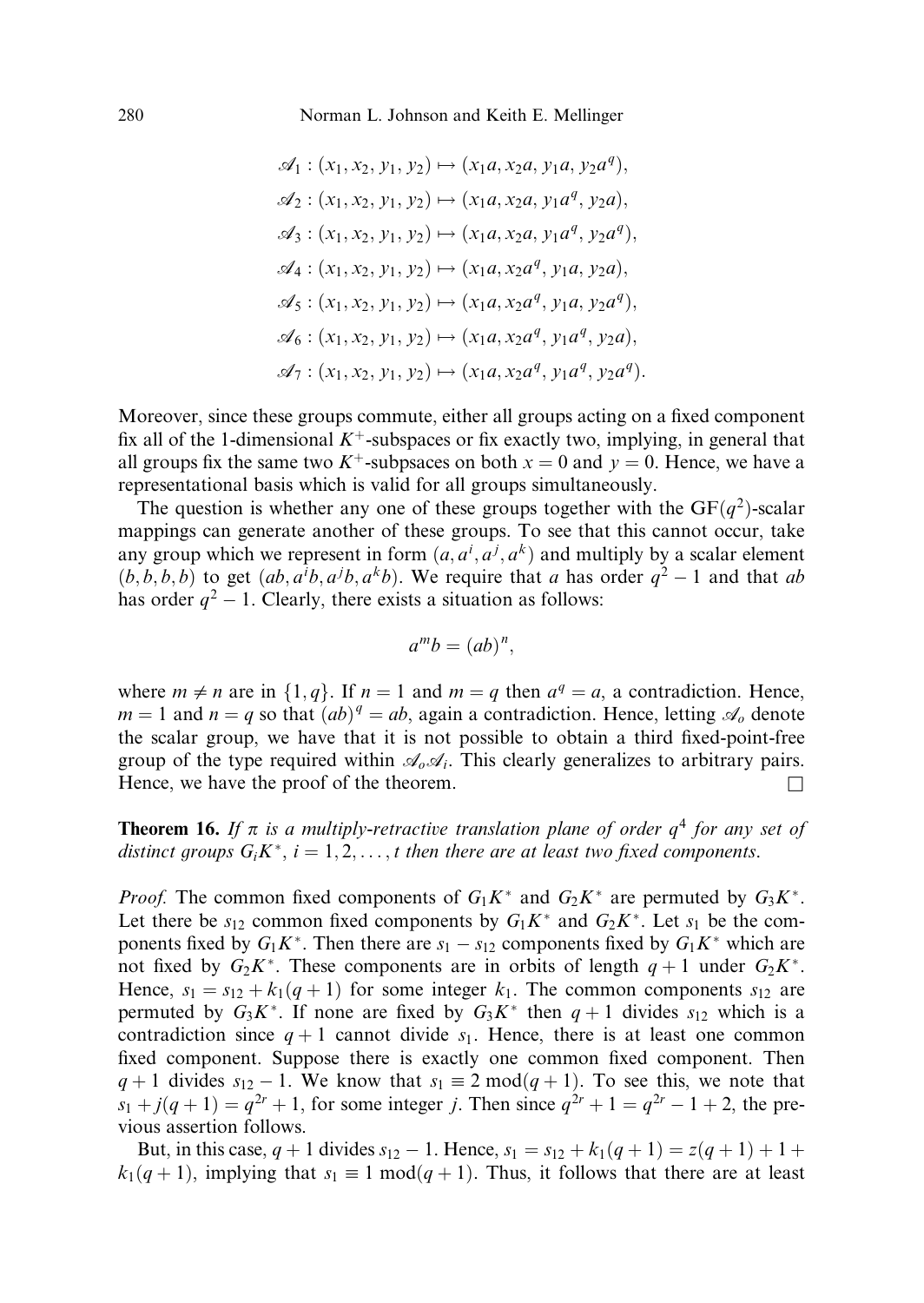$$
\mathcal{A}_1 : (x_1, x_2, y_1, y_2) \mapsto (x_1a, x_2a, y_1a, y_2a^q),
$$
  
\n
$$
\mathcal{A}_2 : (x_1, x_2, y_1, y_2) \mapsto (x_1a, x_2a, y_1a^q, y_2a),
$$
  
\n
$$
\mathcal{A}_3 : (x_1, x_2, y_1, y_2) \mapsto (x_1a, x_2a, y_1a^q, y_2a^q),
$$
  
\n
$$
\mathcal{A}_4 : (x_1, x_2, y_1, y_2) \mapsto (x_1a, x_2a^q, y_1a, y_2a),
$$
  
\n
$$
\mathcal{A}_5 : (x_1, x_2, y_1, y_2) \mapsto (x_1a, x_2a^q, y_1a^q, y_2a^q),
$$
  
\n
$$
\mathcal{A}_6 : (x_1, x_2, y_1, y_2) \mapsto (x_1a, x_2a^q, y_1a^q, y_2a),
$$
  
\n
$$
\mathcal{A}_7 : (x_1, x_2, y_1, y_2) \mapsto (x_1a, x_2a^q, y_1a^q, y_2a^q).
$$

Moreover, since these groups commute, either all groups acting on a fixed component fix all of the 1-dimensional  $K^+$ -subspaces or fix exactly two, implying, in general that all groups fix the same two  $K^+$ -subpsaces on both  $x = 0$  and  $y = 0$ . Hence, we have a representational basis which is valid for all groups simultaneously.

The question is whether any one of these groups together with the  $GF(q^2)$ -scalar mappings can generate another of these groups. To see that this cannot occur, take any group which we represent in form  $(a, a^i, a^j, a^k)$  and multiply by a scalar element  $(b, b, b, b)$  to get  $(ab, a<sup>i</sup>b, a<sup>k</sup>b)$ . We require that a has order  $q<sup>2</sup> - 1$  and that ab has order  $q^2 - 1$ . Clearly, there exists a situation as follows:

$$
a^m b = (ab)^n,
$$

where  $m \neq n$  are in  $\{1, q\}$ . If  $n = 1$  and  $m = q$  then  $a^q = a$ , a contradiction. Hence,  $m = 1$  and  $n = q$  so that  $(ab)^q = ab$ , again a contradiction. Hence, letting  $\mathcal{A}_o$  denote the scalar group, we have that it is not possible to obtain a third fixed-point-free group of the type required within  $\mathcal{A}_{o}\mathcal{A}_{i}$ . This clearly generalizes to arbitrary pairs. Hence, we have the proof of the theorem.  $\Box$ 

**Theorem 16.** If  $\pi$  is a multiply-retractive translation plane of order  $q^4$  for any set of distinct groups  $G_iK^*$ ,  $i = 1, 2, ..., t$  then there are at least two fixed components.

*Proof.* The common fixed components of  $G_1K^*$  and  $G_2K^*$  are permuted by  $G_3K^*$ . Let there be  $s_{12}$  common fixed components by  $G_1K^*$  and  $G_2K^*$ . Let  $s_1$  be the components fixed by  $G_1K^*$ . Then there are  $s_1 - s_{12}$  components fixed by  $G_1K^*$  which are not fixed by  $G_2K^*$ . These components are in orbits of length  $q + 1$  under  $G_2K^*$ . Hence,  $s_1 = s_{12} + k_1(q + 1)$  for some integer  $k_1$ . The common components  $s_{12}$  are permuted by  $G_3K^*$ . If none are fixed by  $G_3K^*$  then  $q+1$  divides  $s_{12}$  which is a contradiction since  $q + 1$  cannot divide  $s<sub>1</sub>$ . Hence, there is at least one common fixed component. Suppose there is exactly one common fixed component. Then  $q+1$  divides  $s_{12} - 1$ . We know that  $s_1 \equiv 2 \mod (q+1)$ . To see this, we note that  $s_1 + j(q + 1) = q^{2r} + 1$ , for some integer j. Then since  $q^{2r} + 1 = q^{2r} - 1 + 2$ , the previous assertion follows.

But, in this case,  $q + 1$  divides  $s_{12} - 1$ . Hence,  $s_1 = s_{12} + k_1(q + 1) = z(q + 1) + 1 +$  $k_1(q+1)$ , implying that  $s_1 \equiv 1 \mod (q+1)$ . Thus, it follows that there are at least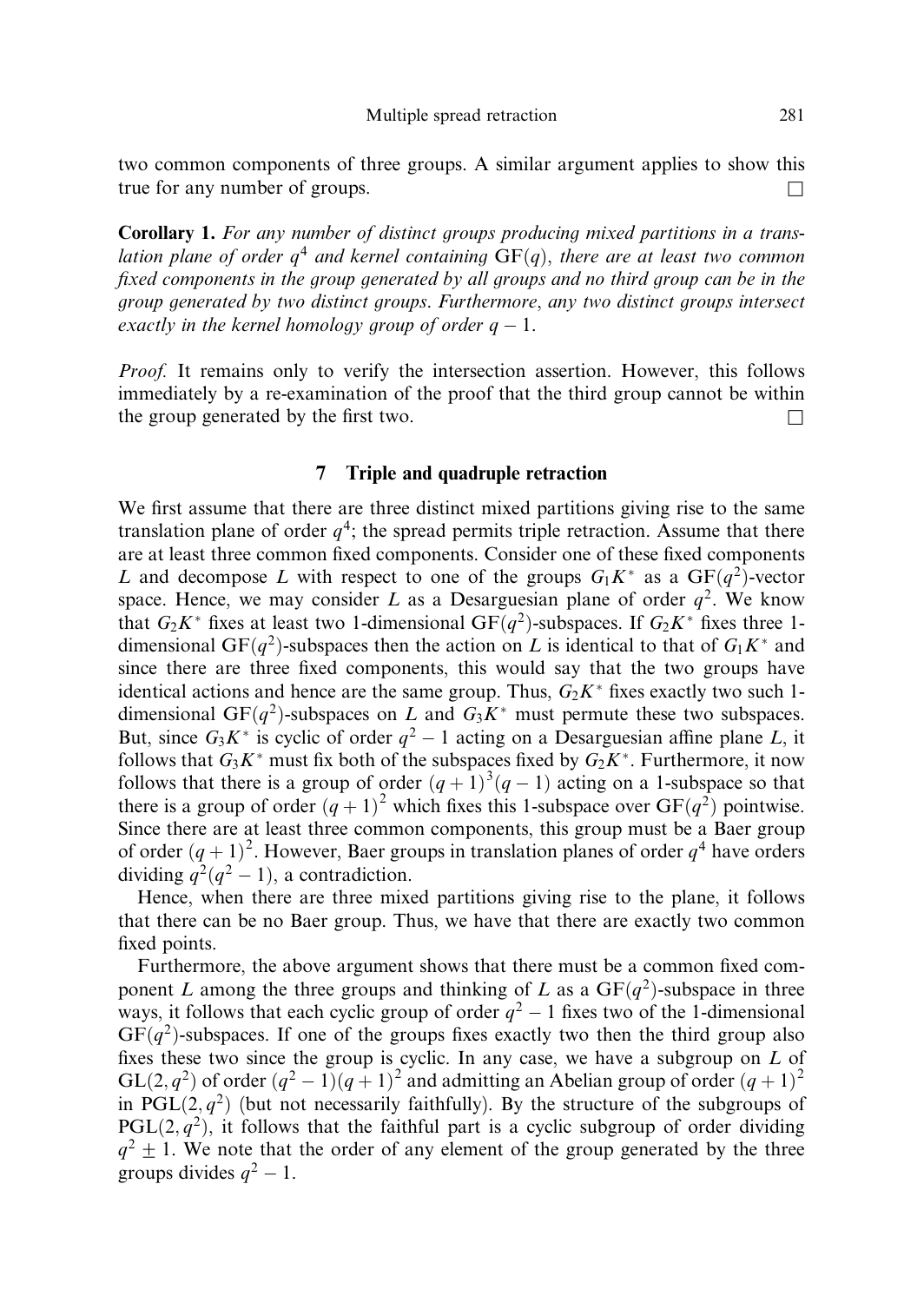two common components of three groups. A similar argument applies to show this true for any number of groups.  $\Box$ 

Corollary 1. For any number of distinct groups producing mixed partitions in a translation plane of order  $q^4$  and kernel containing  $GF(q)$ , there are at least two common fixed components in the group generated by all groups and no third group can be in the group generated by two distinct groups. Furthermore, any two distinct groups intersect exactly in the kernel homology group of order  $q-1$ .

Proof. It remains only to verify the intersection assertion. However, this follows immediately by a re-examination of the proof that the third group cannot be within the group generated by the first two.  $\Box$ 

## 7 Triple and quadruple retraction

We first assume that there are three distinct mixed partitions giving rise to the same translation plane of order  $q^4$ ; the spread permits triple retraction. Assume that there are at least three common fixed components. Consider one of these fixed components L and decompose L with respect to one of the groups  $G_1K^*$  as a  $GF(q^2)$ -vector space. Hence, we may consider L as a Desarguesian plane of order  $q^2$ . We know that  $G_2K^*$  fixes at least two 1-dimensional GF $(q^2)$ -subspaces. If  $G_2K^*$  fixes three 1dimensional GF $(q^2)$ -subspaces then the action on L is identical to that of  $G_1K^*$  and since there are three fixed components, this would say that the two groups have identical actions and hence are the same group. Thus,  $G_2K^*$  fixes exactly two such 1dimensional GF $(q^2)$ -subspaces on L and  $G_3K^*$  must permute these two subspaces. But, since  $G_3K^*$  is cyclic of order  $q^2 - 1$  acting on a Desarguesian affine plane L, it follows that  $G_3K^*$  must fix both of the subspaces fixed by  $G_2K^*$ . Furthermore, it now follows that there is a group of order  $(q + 1)^3(q - 1)$  acting on a 1-subspace so that there is a group of order  $(q + 1)^2$  which fixes this 1-subspace over  $GF(q^2)$  pointwise. Since there are at least three common components, this group must be a Baer group of order  $(q + 1)^2$ . However, Baer groups in translation planes of order  $q<sup>4</sup>$  have orders dividing  $q^2(q^2-1)$ , a contradiction.

Hence, when there are three mixed partitions giving rise to the plane, it follows that there can be no Baer group. Thus, we have that there are exactly two common fixed points.

Furthermore, the above argument shows that there must be a common fixed component L among the three groups and thinking of L as a  $GF(q^2)$ -subspace in three ways, it follows that each cyclic group of order  $q^2 - 1$  fixes two of the 1-dimensional  $GF(q^2)$ -subspaces. If one of the groups fixes exactly two then the third group also fixes these two since the group is cyclic. In any case, we have a subgroup on  $L$  of  $GL(2, q^2)$  of order  $(q^2 - 1)(q + 1)^2$  and admitting an Abelian group of order  $(q + 1)^2$ in  $\text{PGL}(2, q^2)$  (but not necessarily faithfully). By the structure of the subgroups of  $PGL(2, q^2)$ , it follows that the faithful part is a cyclic subgroup of order dividing  $q^2 \pm 1$ . We note that the order of any element of the group generated by the three groups divides  $q^2 - 1$ .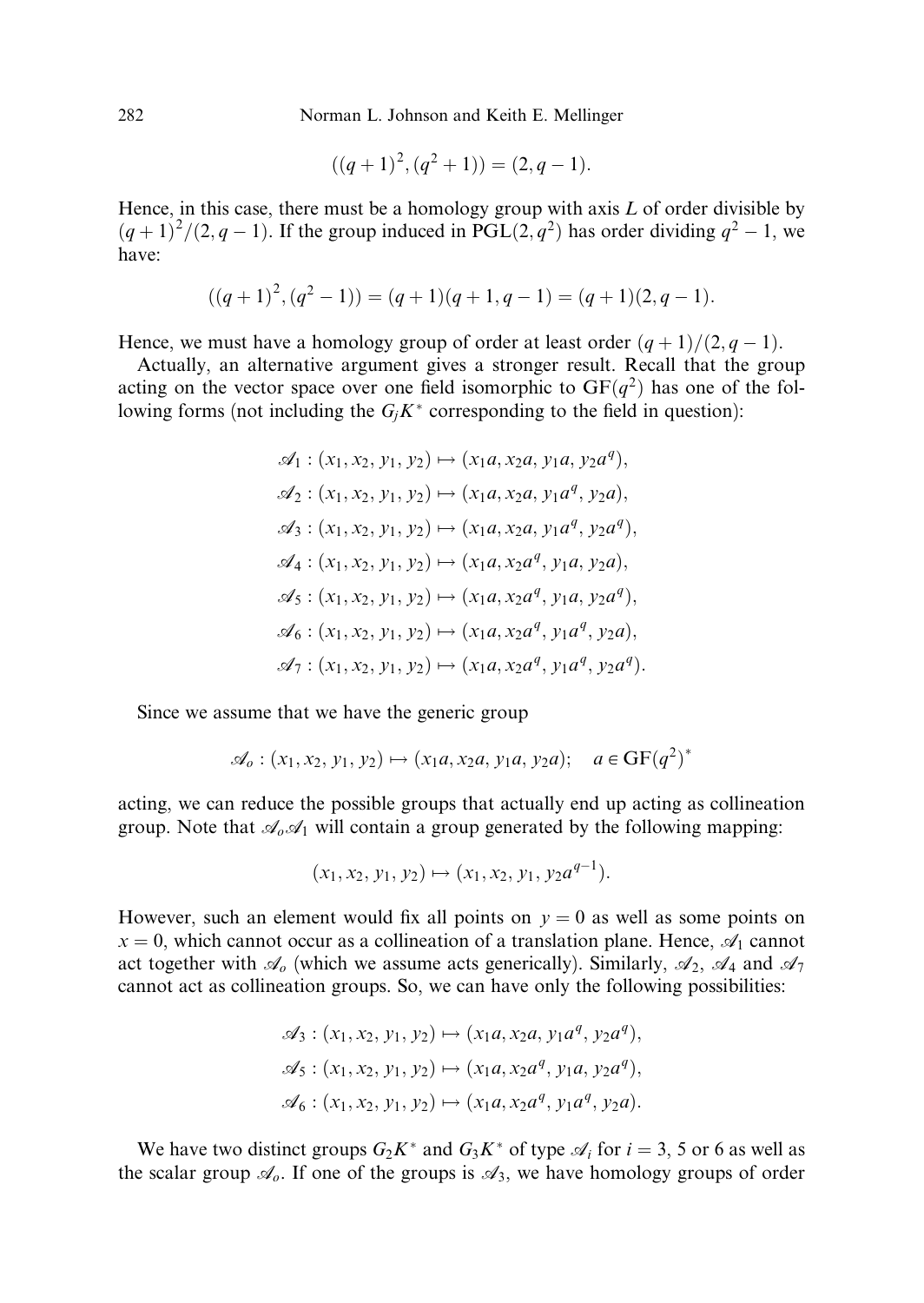$$
((q+1)^2, (q^2+1)) = (2, q-1).
$$

Hence, in this case, there must be a homology group with axis  $L$  of order divisible by  $(q+1)^2/(2,q-1)$ . If the group induced in PGL $(2,q^2)$  has order dividing  $q^2-1$ , we have:

$$
((q+1)2, (q2-1)) = (q+1)(q+1,q-1) = (q+1)(2,q-1).
$$

Hence, we must have a homology group of order at least order  $(q + 1)/(2, q - 1)$ .

Actually, an alternative argument gives a stronger result. Recall that the group acting on the vector space over one field isomorphic to  $GF(q^2)$  has one of the following forms (not including the  $G_i K^*$  corresponding to the field in question):

$$
\mathcal{A}_1: (x_1, x_2, y_1, y_2) \mapsto (x_1a, x_2a, y_1a, y_2a^q),
$$
  
\n
$$
\mathcal{A}_2: (x_1, x_2, y_1, y_2) \mapsto (x_1a, x_2a, y_1a^q, y_2a),
$$
  
\n
$$
\mathcal{A}_3: (x_1, x_2, y_1, y_2) \mapsto (x_1a, x_2a, y_1a^q, y_2a^q),
$$
  
\n
$$
\mathcal{A}_4: (x_1, x_2, y_1, y_2) \mapsto (x_1a, x_2a^q, y_1a, y_2a),
$$
  
\n
$$
\mathcal{A}_5: (x_1, x_2, y_1, y_2) \mapsto (x_1a, x_2a^q, y_1a^q, y_2a^q),
$$
  
\n
$$
\mathcal{A}_6: (x_1, x_2, y_1, y_2) \mapsto (x_1a, x_2a^q, y_1a^q, y_2a),
$$
  
\n
$$
\mathcal{A}_7: (x_1, x_2, y_1, y_2) \mapsto (x_1a, x_2a^q, y_1a^q, y_2a^q).
$$

Since we assume that we have the generic group

$$
\mathscr{A}_o : (x_1, x_2, y_1, y_2) \mapsto (x_1a, x_2a, y_1a, y_2a); \quad a \in GF(q^2)^*
$$

acting, we can reduce the possible groups that actually end up acting as collineation group. Note that  $\mathcal{A}_0 \mathcal{A}_1$  will contain a group generated by the following mapping:

$$
(x_1, x_2, y_1, y_2) \mapsto (x_1, x_2, y_1, y_2 a^{q-1}).
$$

However, such an element would fix all points on  $y = 0$  as well as some points on  $x = 0$ , which cannot occur as a collineation of a translation plane. Hence,  $\mathcal{A}_1$  cannot act together with  $\mathcal{A}_{\rho}$  (which we assume acts generically). Similarly,  $\mathcal{A}_2$ ,  $\mathcal{A}_4$  and  $\mathcal{A}_7$ cannot act as collineation groups. So, we can have only the following possibilities:

$$
\mathscr{A}_3 : (x_1, x_2, y_1, y_2) \mapsto (x_1a, x_2a, y_1a^q, y_2a^q), \mathscr{A}_5 : (x_1, x_2, y_1, y_2) \mapsto (x_1a, x_2a^q, y_1a, y_2a^q), \mathscr{A}_6 : (x_1, x_2, y_1, y_2) \mapsto (x_1a, x_2a^q, y_1a^q, y_2a).
$$

We have two distinct groups  $G_2K^*$  and  $G_3K^*$  of type  $\mathcal{A}_i$  for  $i = 3, 5$  or 6 as well as the scalar group  $\mathcal{A}_{\rho}$ . If one of the groups is  $\mathcal{A}_3$ , we have homology groups of order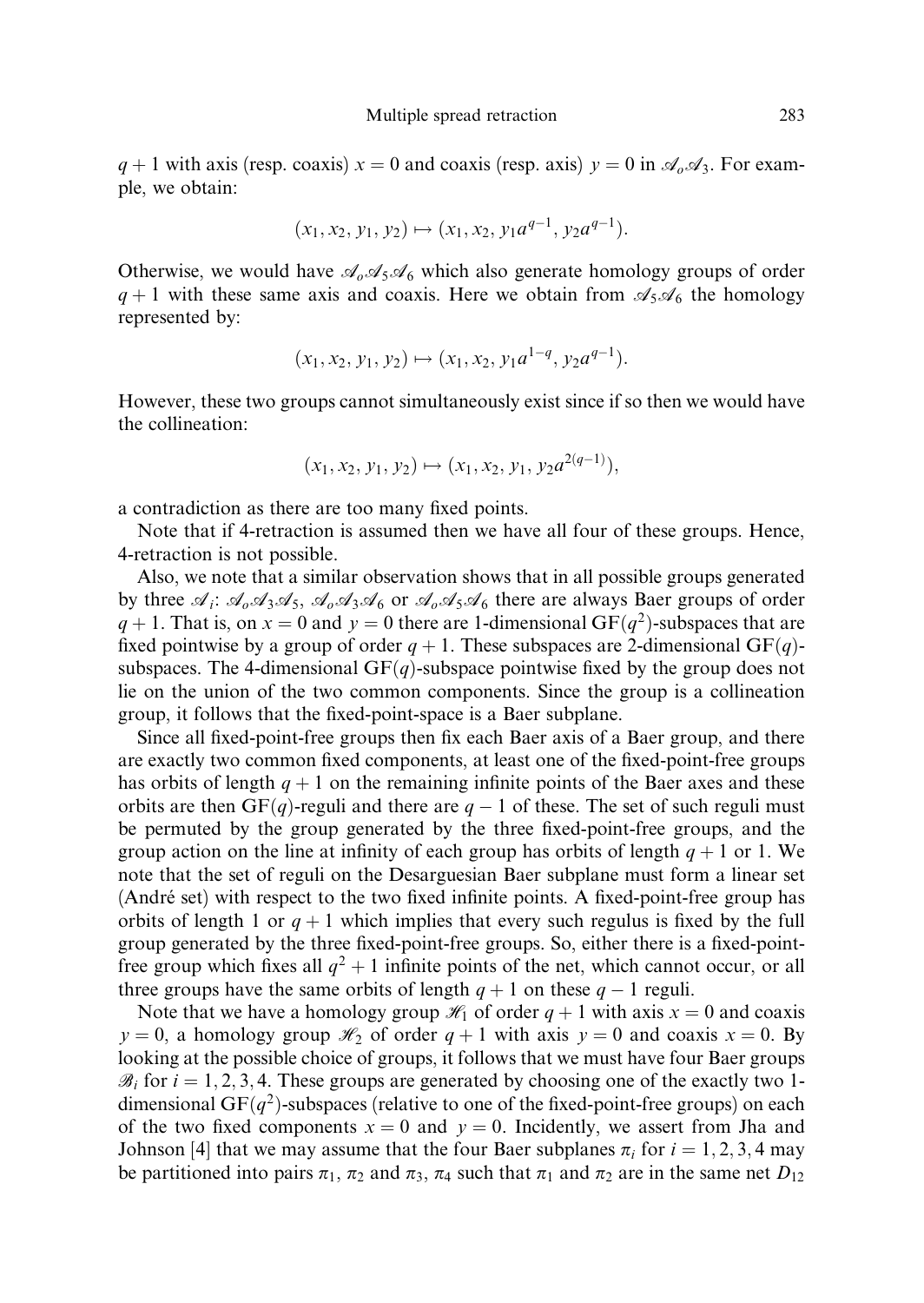$q + 1$  with axis (resp. coaxis)  $x = 0$  and coaxis (resp. axis)  $y = 0$  in  $\mathscr{A}_0 \mathscr{A}_3$ . For example, we obtain:

$$
(x_1, x_2, y_1, y_2) \mapsto (x_1, x_2, y_1 a^{q-1}, y_2 a^{q-1}).
$$

Otherwise, we would have  $\mathcal{A}_{0}\mathcal{A}_{5}\mathcal{A}_{6}$  which also generate homology groups of order  $q + 1$  with these same axis and coaxis. Here we obtain from  $\mathscr{A}_5\mathscr{A}_6$  the homology represented by:

$$
(x_1, x_2, y_1, y_2) \mapsto (x_1, x_2, y_1 a^{1-q}, y_2 a^{q-1}).
$$

However, these two groups cannot simultaneously exist since if so then we would have the collineation:

$$
(x_1, x_2, y_1, y_2) \mapsto (x_1, x_2, y_1, y_2 a^{2(q-1)}),
$$

a contradiction as there are too many fixed points.

Note that if 4-retraction is assumed then we have all four of these groups. Hence, 4-retraction is not possible.

Also, we note that a similar observation shows that in all possible groups generated by three  $\mathcal{A}_i$ :  $\mathcal{A}_0\mathcal{A}_3\mathcal{A}_5$ ,  $\mathcal{A}_0\mathcal{A}_3\mathcal{A}_6$  or  $\mathcal{A}_0\mathcal{A}_5\mathcal{A}_6$  there are always Baer groups of order  $q + 1$ . That is, on  $x = 0$  and  $y = 0$  there are 1-dimensional GF $(q^2)$ -subspaces that are fixed pointwise by a group of order  $q + 1$ . These subspaces are 2-dimensional  $GF(q)$ subspaces. The 4-dimensional  $GF(q)$ -subspace pointwise fixed by the group does not lie on the union of the two common components. Since the group is a collineation group, it follows that the fixed-point-space is a Baer subplane.

Since all fixed-point-free groups then fix each Baer axis of a Baer group, and there are exactly two common fixed components, at least one of the fixed-point-free groups has orbits of length  $q + 1$  on the remaining infinite points of the Baer axes and these orbits are then GF $(q)$ -reguli and there are  $q-1$  of these. The set of such reguli must be permuted by the group generated by the three fixed-point-free groups, and the group action on the line at infinity of each group has orbits of length  $q + 1$  or 1. We note that the set of reguli on the Desarguesian Baer subplane must form a linear set (André set) with respect to the two fixed infinite points. A fixed-point-free group has orbits of length 1 or  $q + 1$  which implies that every such regulus is fixed by the full group generated by the three fixed-point-free groups. So, either there is a fixed-pointfree group which fixes all  $q^2 + 1$  infinite points of the net, which cannot occur, or all three groups have the same orbits of length  $q + 1$  on these  $q - 1$  reguli.

Note that we have a homology group  $\mathcal{H}_1$  of order  $q + 1$  with axis  $x = 0$  and coaxis  $y = 0$ , a homology group  $\mathcal{H}_2$  of order  $q + 1$  with axis  $y = 0$  and coaxis  $x = 0$ . By looking at the possible choice of groups, it follows that we must have four Baer groups  $\mathscr{B}_i$  for  $i = 1, 2, 3, 4$ . These groups are generated by choosing one of the exactly two 1dimensional GF $(q^2)$ -subspaces (relative to one of the fixed-point-free groups) on each of the two fixed components  $x = 0$  and  $y = 0$ . Incidently, we assert from Jha and Johnson [4] that we may assume that the four Baer subplanes  $\pi_i$  for  $i = 1, 2, 3, 4$  may be partitioned into pairs  $\pi_1$ ,  $\pi_2$  and  $\pi_3$ ,  $\pi_4$  such that  $\pi_1$  and  $\pi_2$  are in the same net  $D_{12}$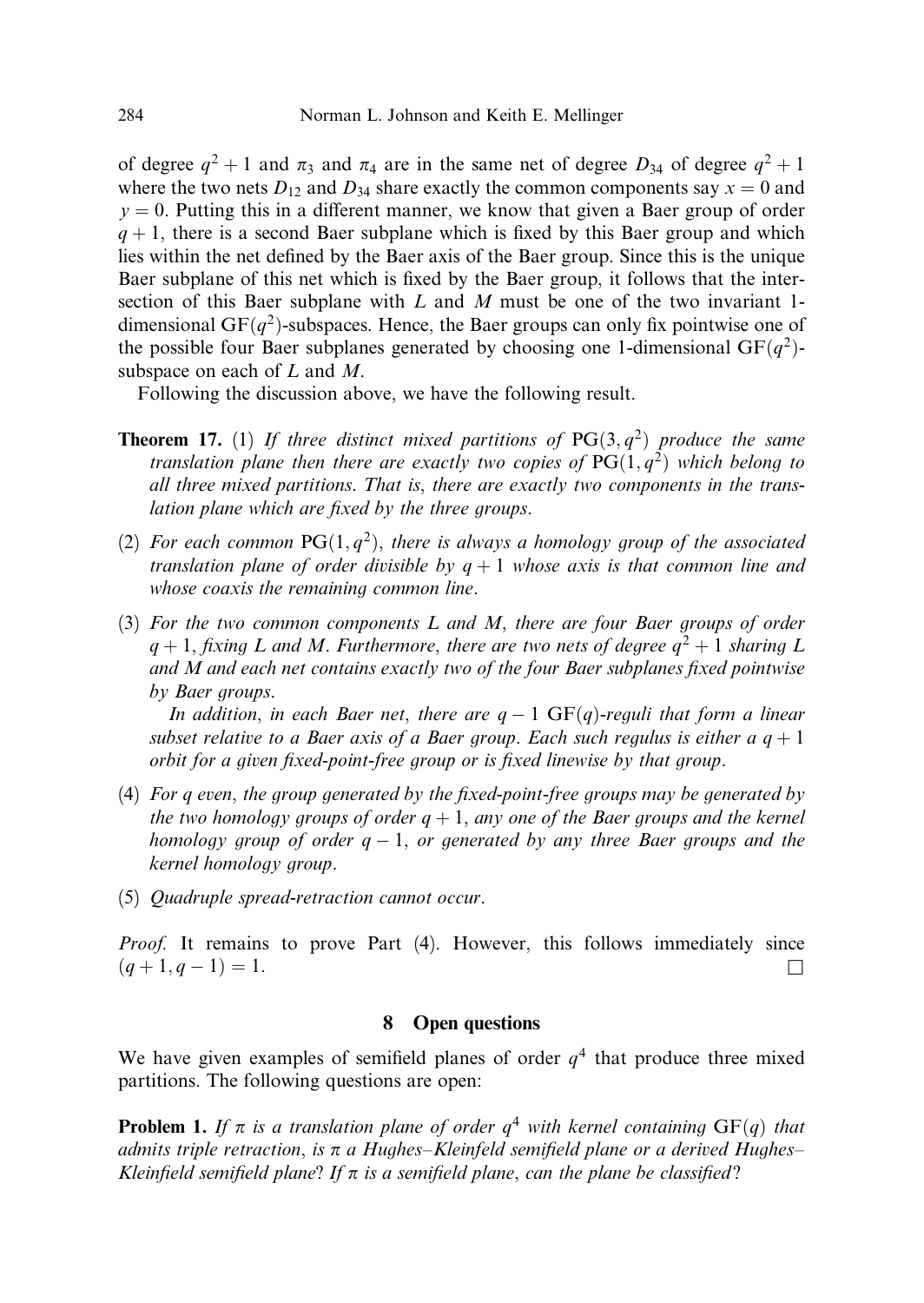of degree  $q^2 + 1$  and  $\pi_3$  and  $\pi_4$  are in the same net of degree  $D_{34}$  of degree  $q^2 + 1$ where the two nets  $D_{12}$  and  $D_{34}$  share exactly the common components say  $x = 0$  and  $y = 0$ . Putting this in a different manner, we know that given a Baer group of order  $q + 1$ , there is a second Baer subplane which is fixed by this Baer group and which lies within the net defined by the Baer axis of the Baer group. Since this is the unique Baer subplane of this net which is fixed by the Baer group, it follows that the intersection of this Baer subplane with  $L$  and  $M$  must be one of the two invariant 1dimensional  $GF(q^2)$ -subspaces. Hence, the Baer groups can only fix pointwise one of the possible four Baer subplanes generated by choosing one 1-dimensional  $GF(q^2)$ subspace on each of L and M.

Following the discussion above, we have the following result.

- **Theorem 17.** (1) If three distinct mixed partitions of  $PG(3, q^2)$  produce the same translation plane then there are exactly two copies of  $PG(1,q^2)$  which belong to all three mixed partitions. That is, there are exactly two components in the translation plane which are fixed by the three groups.
- (2) For each common  $PG(1, q^2)$ , there is always a homology group of the associated translation plane of order divisible by  $q + 1$  whose axis is that common line and whose coaxis the remaining common line.
- (3) For the two common components L and M, there are four Baer groups of order  $q + 1$ , fixing L and M. Furthermore, there are two nets of degree  $q^2 + 1$  sharing L and M and each net contains exactly two of the four Baer subplanes fixed pointwise by Baer groups.

In addition, in each Baer net, there are  $q-1 \text{ GF}(q)$ -reguli that form a linear subset relative to a Baer axis of a Baer group. Each such regulus is either a  $q + 1$ orbit for a given fixed-point-free group or is fixed linewise by that group.

- (4) For q even, the group generated by the fixed-point-free groups may be generated by the two homology groups of order  $q + 1$ , any one of the Baer groups and the kernel homology group of order  $q-1,$  or generated by any three Baer groups and the kernel homology group.
- (5) Quadruple spread-retraction cannot occur.

Proof. It remains to prove Part (4). However, this follows immediately since  $(q+1, q-1) = 1.$  $(-1) = 1.$ 

## 8 Open questions

We have given examples of semifield planes of order  $q<sup>4</sup>$  that produce three mixed partitions. The following questions are open:

**Problem 1.** If  $\pi$  is a translation plane of order  $q^4$  with kernel containing GF(q) that admits triple retraction, is  $\pi$  a Hughes–Kleinfeld semifield plane or a derived Hughes– Kleinfield semifield plane? If  $\pi$  is a semifield plane, can the plane be classified?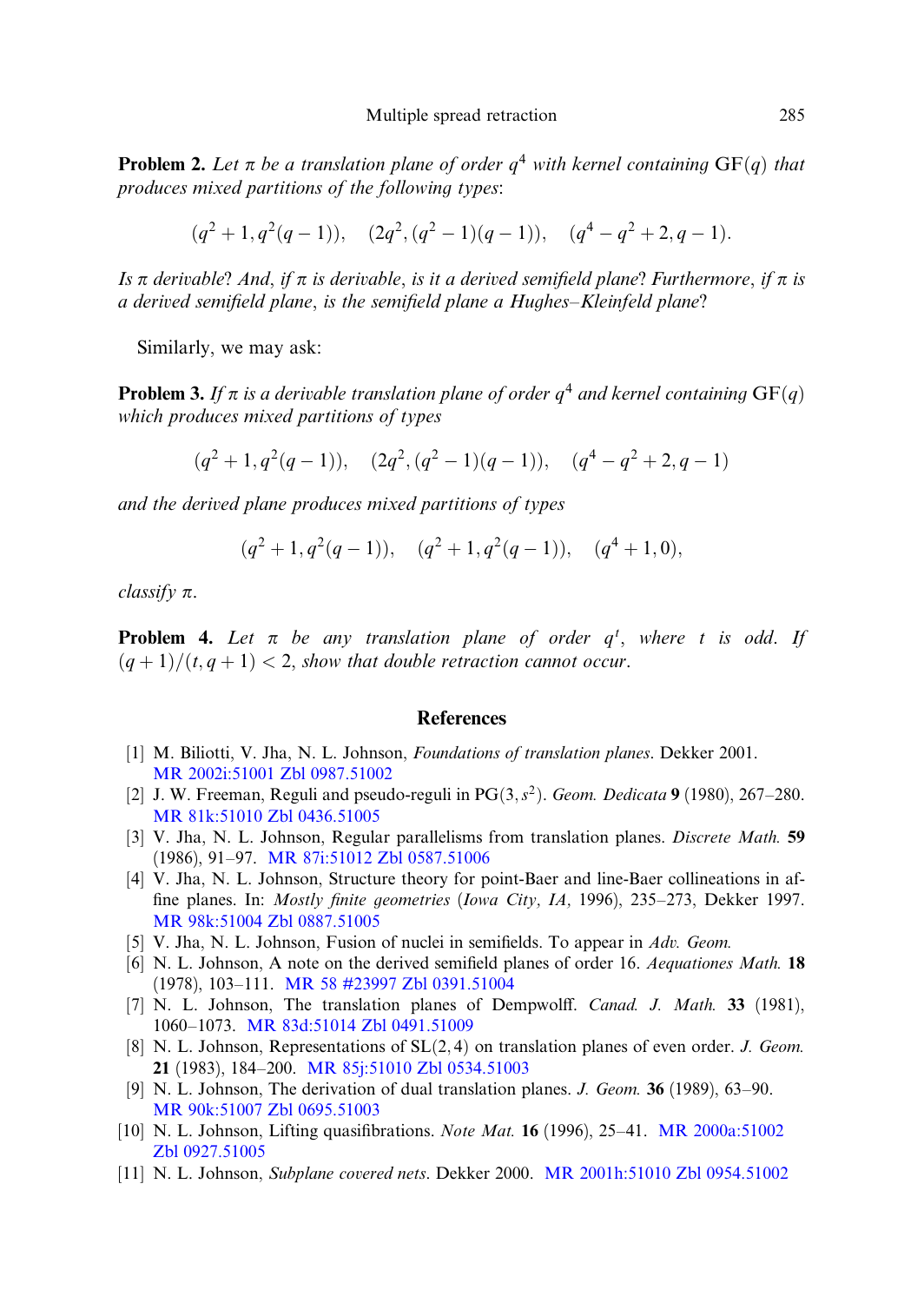**Problem 2.** Let  $\pi$  be a translation plane of order  $q^4$  with kernel containing  $GF(q)$  that produces mixed partitions of the following types:

$$
(q^2+1, q^2(q-1)), (2q^2, (q^2-1)(q-1)), (q^4-q^2+2, q-1).
$$

Is  $\pi$  derivable? And, if  $\pi$  is derivable, is it a derived semifield plane? Furthermore, if  $\pi$  is a derived semifield plane, is the semifield plane a Hughes–Kleinfeld plane?

Similarly, we may ask:

**Problem 3.** If  $\pi$  is a derivable translation plane of order  $q^4$  and kernel containing  $GF(q)$ which produces mixed partitions of types

$$
(q^2 + 1, q^2(q - 1)), (2q^2, (q^2 - 1)(q - 1)), (q^4 - q^2 + 2, q - 1)
$$

and the derived plane produces mixed partitions of types

$$
(q^2+1, q^2(q-1)), (q^2+1, q^2(q-1)), (q^4+1, 0),
$$

classify  $\pi$ .

**Problem 4.** Let  $\pi$  be any translation plane of order  $q^t$ , where t is odd. If  $(q+1)/(t, q+1) < 2$ , show that double retraction cannot occur.

#### References

- [1] M. Biliotti, V. Jha, N. L. Johnson, *Foundations of translation planes*. Dekker 2001. [MR 2002i:51001](http://www.ams.org/mathscinet-getitem?mr=2002i:51001) [Zbl 0987.51002](http://www.emis.de/MATH-item?0987.51002)
- [2] J. W. Freeman, Reguli and pseudo-reguli in  $PG(3, s^2)$ . Geom. Dedicata 9 (1980), 267–280. [MR 81k:51010](http://www.ams.org/mathscinet-getitem?mr=81k:51010) [Zbl 0436.51005](http://www.emis.de/MATH-item?0436.51005)
- [3] V. Jha, N. L. Johnson, Regular parallelisms from translation planes. Discrete Math. 59 (1986), 91–97. [MR 87i:51012](http://www.ams.org/mathscinet-getitem?mr=87i:51012) [Zbl 0587.51006](http://www.emis.de/MATH-item?0587.51006)
- [4] V. Jha, N. L. Johnson, Structure theory for point-Baer and line-Baer collineations in affine planes. In: Mostly finite geometries (Iowa City, IA, 1996), 235–273, Dekker 1997. [MR 98k:51004](http://www.ams.org/mathscinet-getitem?mr=98k:51004) [Zbl 0887.51005](http://www.emis.de/MATH-item?0887.51005)
- [5] V. Jha, N. L. Johnson, Fusion of nuclei in semifields. To appear in Adv. Geom.
- [6] N. L. Johnson, A note on the derived semifield planes of order 16. Aequationes Math. 18 (1978), 103–111. [MR 58 #23997](http://www.ams.org/mathscinet-getitem?mr=58:23997) [Zbl 0391.51004](http://www.emis.de/MATH-item?0391.51004)
- [7] N. L. Johnson, The translation planes of Dempwolff. Canad. J. Math. 33 (1981), 1060–1073. [MR 83d:51014](http://www.ams.org/mathscinet-getitem?mr=83d:51014) [Zbl 0491.51009](http://www.emis.de/MATH-item?0491.51009)
- [8] N. L. Johnson, Representations of  $SL(2,4)$  on translation planes of even order. J. Geom. 21 (1983), 184–200. [MR 85j:51010](http://www.ams.org/mathscinet-getitem?mr=85j:51010) [Zbl 0534.51003](http://www.emis.de/MATH-item?0534.51003)
- [9] N. L. Johnson, The derivation of dual translation planes. *J. Geom.* **36** (1989), 63–90. [MR 90k:51007](http://www.ams.org/mathscinet-getitem?mr=90k:51007) [Zbl 0695.51003](http://www.emis.de/MATH-item?0695.51003)
- [10] N. L. Johnson, Lifting quasifibrations. Note Mat. 16 (1996), 25–41. [MR 2000a:51002](http://www.ams.org/mathscinet-getitem?mr=2000a:51002) [Zbl 0927.51005](http://www.emis.de/MATH-item?0927.51005)
- [11] N. L. Johnson, Subplane covered nets. Dekker 2000. [MR 2001h:51010](http://www.ams.org/mathscinet-getitem?mr=2001h:51010) [Zbl 0954.51002](http://www.emis.de/MATH-item?0954.51002)